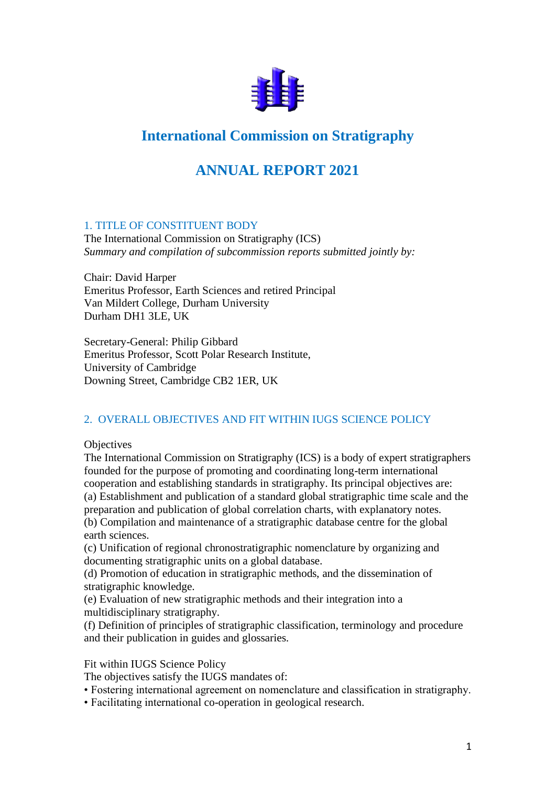

# **International Commission on Stratigraphy**

## **ANNUAL REPORT 2021**

### 1. TITLE OF CONSTITUENT BODY

The International Commission on Stratigraphy (ICS) *Summary and compilation of subcommission reports submitted jointly by:*

Chair: David Harper Emeritus Professor, Earth Sciences and retired Principal Van Mildert College, Durham University Durham DH1 3LE, UK

Secretary-General: Philip Gibbard Emeritus Professor, Scott Polar Research Institute, University of Cambridge Downing Street, Cambridge CB2 1ER, UK

### 2. OVERALL OBJECTIVES AND FIT WITHIN IUGS SCIENCE POLICY

**Objectives** 

The International Commission on Stratigraphy (ICS) is a body of expert stratigraphers founded for the purpose of promoting and coordinating long-term international cooperation and establishing standards in stratigraphy. Its principal objectives are: (a) Establishment and publication of a standard global stratigraphic time scale and the preparation and publication of global correlation charts, with explanatory notes. (b) Compilation and maintenance of a stratigraphic database centre for the global earth sciences.

(c) Unification of regional chronostratigraphic nomenclature by organizing and documenting stratigraphic units on a global database.

(d) Promotion of education in stratigraphic methods, and the dissemination of stratigraphic knowledge.

(e) Evaluation of new stratigraphic methods and their integration into a multidisciplinary stratigraphy.

(f) Definition of principles of stratigraphic classification, terminology and procedure and their publication in guides and glossaries.

### Fit within IUGS Science Policy

The objectives satisfy the IUGS mandates of:

- Fostering international agreement on nomenclature and classification in stratigraphy.
- Facilitating international co-operation in geological research.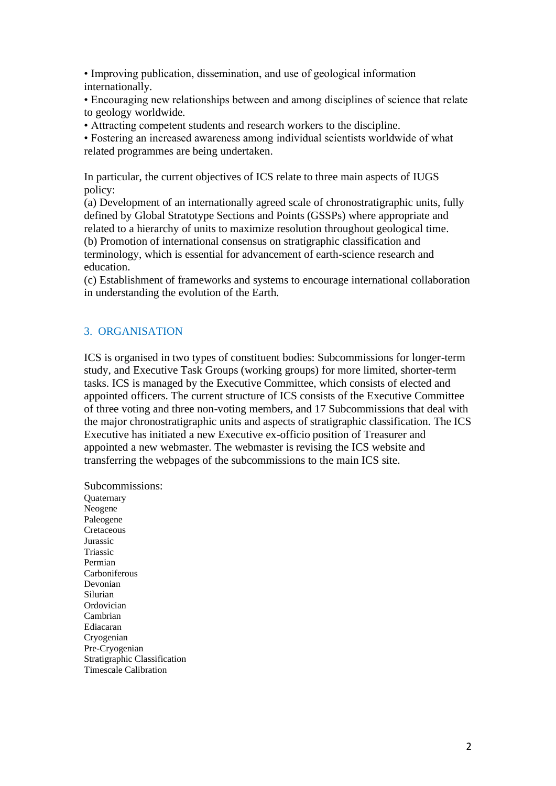• Improving publication, dissemination, and use of geological information internationally.

• Encouraging new relationships between and among disciplines of science that relate to geology worldwide.

• Attracting competent students and research workers to the discipline.

• Fostering an increased awareness among individual scientists worldwide of what related programmes are being undertaken.

In particular, the current objectives of ICS relate to three main aspects of IUGS policy:

(a) Development of an internationally agreed scale of chronostratigraphic units, fully defined by Global Stratotype Sections and Points (GSSPs) where appropriate and related to a hierarchy of units to maximize resolution throughout geological time. (b) Promotion of international consensus on stratigraphic classification and terminology, which is essential for advancement of earth-science research and education.

(c) Establishment of frameworks and systems to encourage international collaboration in understanding the evolution of the Earth.

### 3. ORGANISATION

ICS is organised in two types of constituent bodies: Subcommissions for longer-term study, and Executive Task Groups (working groups) for more limited, shorter-term tasks. ICS is managed by the Executive Committee, which consists of elected and appointed officers. The current structure of ICS consists of the Executive Committee of three voting and three non-voting members, and 17 Subcommissions that deal with the major chronostratigraphic units and aspects of stratigraphic classification. The ICS Executive has initiated a new Executive ex-officio position of Treasurer and appointed a new webmaster. The webmaster is revising the ICS website and transferring the webpages of the subcommissions to the main ICS site.

Subcommissions: **Ouaternary** Neogene Paleogene Cretaceous Jurassic Triassic Permian Carboniferous Devonian Silurian Ordovician Cambrian Ediacaran Cryogenian Pre-Cryogenian Stratigraphic Classification Timescale Calibration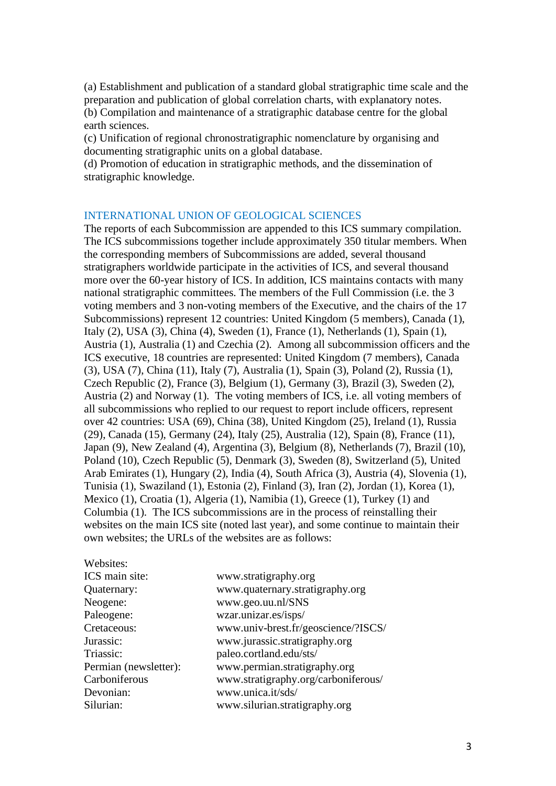(a) Establishment and publication of a standard global stratigraphic time scale and the preparation and publication of global correlation charts, with explanatory notes. (b) Compilation and maintenance of a stratigraphic database centre for the global earth sciences.

(c) Unification of regional chronostratigraphic nomenclature by organising and documenting stratigraphic units on a global database.

(d) Promotion of education in stratigraphic methods, and the dissemination of stratigraphic knowledge.

#### INTERNATIONAL UNION OF GEOLOGICAL SCIENCES

The reports of each Subcommission are appended to this ICS summary compilation. The ICS subcommissions together include approximately 350 titular members. When the corresponding members of Subcommissions are added, several thousand stratigraphers worldwide participate in the activities of ICS, and several thousand more over the 60-year history of ICS. In addition, ICS maintains contacts with many national stratigraphic committees. The members of the Full Commission (i.e. the 3 voting members and 3 non-voting members of the Executive, and the chairs of the 17 Subcommissions) represent 12 countries: United Kingdom (5 members), Canada (1), Italy (2), USA (3), China (4), Sweden (1), France (1), Netherlands (1), Spain (1), Austria (1), Australia (1) and Czechia (2). Among all subcommission officers and the ICS executive, 18 countries are represented: United Kingdom (7 members), Canada (3), USA (7), China (11), Italy (7), Australia (1), Spain (3), Poland (2), Russia (1), Czech Republic (2), France (3), Belgium (1), Germany (3), Brazil (3), Sweden (2), Austria (2) and Norway (1). The voting members of ICS, i.e. all voting members of all subcommissions who replied to our request to report include officers, represent over 42 countries: USA (69), China (38), United Kingdom (25), Ireland (1), Russia (29), Canada (15), Germany (24), Italy (25), Australia (12), Spain (8), France (11), Japan (9), New Zealand (4), Argentina (3), Belgium (8), Netherlands (7), Brazil (10), Poland (10), Czech Republic (5), Denmark (3), Sweden (8), Switzerland (5), United Arab Emirates (1), Hungary (2), India (4), South Africa (3), Austria (4), Slovenia (1), Tunisia (1), Swaziland (1), Estonia (2), Finland (3), Iran (2), Jordan (1), Korea (1), Mexico (1), Croatia (1), Algeria (1), Namibia (1), Greece (1), Turkey (1) and Columbia (1). The ICS subcommissions are in the process of reinstalling their websites on the main ICS site (noted last year), and some continue to maintain their own websites; the URLs of the websites are as follows:

| websites:             |                                     |
|-----------------------|-------------------------------------|
| ICS main site:        | www.stratigraphy.org                |
| Quaternary:           | www.quaternary.stratigraphy.org     |
| Neogene:              | www.geo.uu.nl/SNS                   |
| Paleogene:            | wzar.unizar.es/isps/                |
| Cretaceous:           | www.univ-brest.fr/geoscience/?ISCS/ |
| Jurassic:             | www.jurassic.stratigraphy.org       |
| Triassic:             | paleo.cortland.edu/sts/             |
| Permian (newsletter): | www.permian.stratigraphy.org        |
| Carboniferous         | www.stratigraphy.org/carboniferous/ |
| Devonian:             | www.unica.it/sds/                   |
| Silurian:             | www.silurian.stratigraphy.org       |
|                       |                                     |

 $\frac{1}{2}$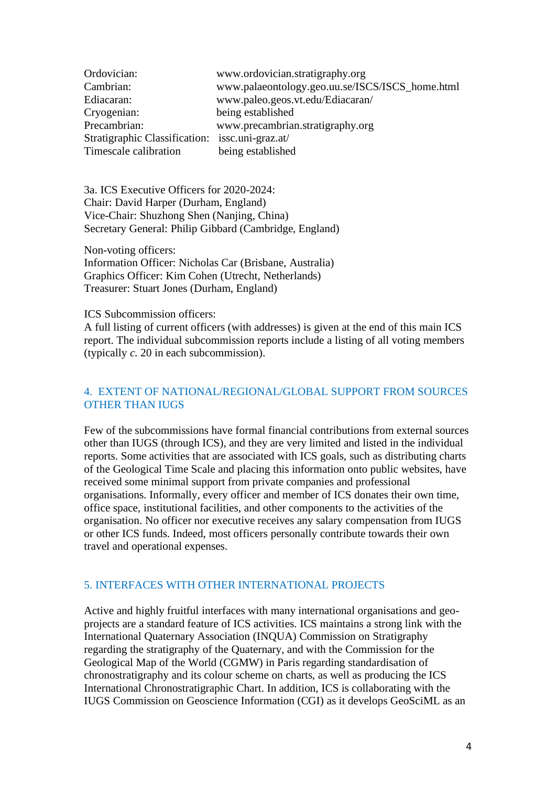| Ordovician:                                     | www.ordovician.stratigraphy.org                 |
|-------------------------------------------------|-------------------------------------------------|
| Cambrian:                                       | www.palaeontology.geo.uu.se/ISCS/ISCS_home.html |
| Ediacaran:                                      | www.paleo.geos.vt.edu/Ediacaran/                |
| Cryogenian:                                     | being established                               |
| Precambrian:                                    | www.precambrian.stratigraphy.org                |
| Stratigraphic Classification: issc.uni-graz.at/ |                                                 |
| Timescale calibration                           | being established                               |

3a. ICS Executive Officers for 2020-2024: Chair: David Harper (Durham, England) Vice-Chair: Shuzhong Shen (Nanjing, China) Secretary General: Philip Gibbard (Cambridge, England)

Non-voting officers:

Information Officer: Nicholas Car (Brisbane, Australia) Graphics Officer: Kim Cohen (Utrecht, Netherlands) Treasurer: Stuart Jones (Durham, England)

#### ICS Subcommission officers:

A full listing of current officers (with addresses) is given at the end of this main ICS report. The individual subcommission reports include a listing of all voting members (typically *c.* 20 in each subcommission).

### 4. EXTENT OF NATIONAL/REGIONAL/GLOBAL SUPPORT FROM SOURCES OTHER THAN IUGS

Few of the subcommissions have formal financial contributions from external sources other than IUGS (through ICS), and they are very limited and listed in the individual reports. Some activities that are associated with ICS goals, such as distributing charts of the Geological Time Scale and placing this information onto public websites, have received some minimal support from private companies and professional organisations. Informally, every officer and member of ICS donates their own time, office space, institutional facilities, and other components to the activities of the organisation. No officer nor executive receives any salary compensation from IUGS or other ICS funds. Indeed, most officers personally contribute towards their own travel and operational expenses.

#### 5. INTERFACES WITH OTHER INTERNATIONAL PROJECTS

Active and highly fruitful interfaces with many international organisations and geoprojects are a standard feature of ICS activities. ICS maintains a strong link with the International Quaternary Association (INQUA) Commission on Stratigraphy regarding the stratigraphy of the Quaternary, and with the Commission for the Geological Map of the World (CGMW) in Paris regarding standardisation of chronostratigraphy and its colour scheme on charts, as well as producing the ICS International Chronostratigraphic Chart. In addition, ICS is collaborating with the IUGS Commission on Geoscience Information (CGI) as it develops GeoSciML as an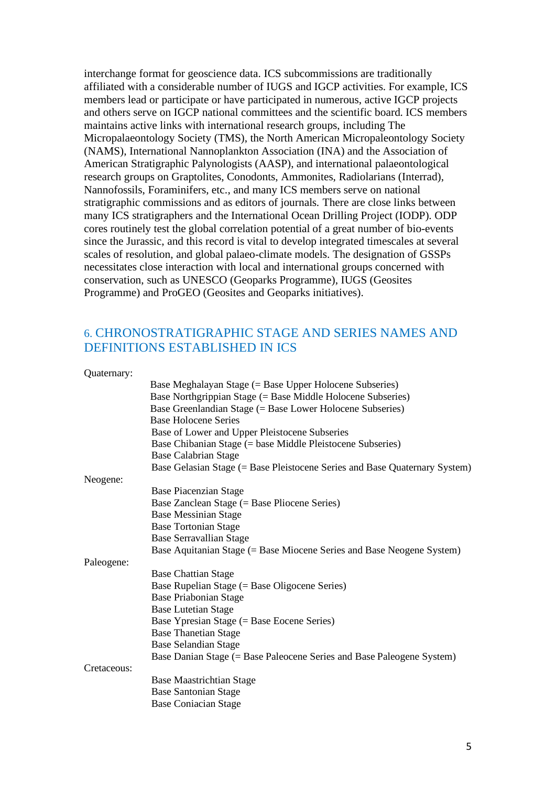interchange format for geoscience data. ICS subcommissions are traditionally affiliated with a considerable number of IUGS and IGCP activities. For example, ICS members lead or participate or have participated in numerous, active IGCP projects and others serve on IGCP national committees and the scientific board. ICS members maintains active links with international research groups, including The Micropalaeontology Society (TMS), the North American Micropaleontology Society (NAMS), International Nannoplankton Association (INA) and the Association of American Stratigraphic Palynologists (AASP), and international palaeontological research groups on Graptolites, Conodonts, Ammonites, Radiolarians (Interrad), Nannofossils, Foraminifers, etc., and many ICS members serve on national stratigraphic commissions and as editors of journals. There are close links between many ICS stratigraphers and the International Ocean Drilling Project (IODP). ODP cores routinely test the global correlation potential of a great number of bio-events since the Jurassic, and this record is vital to develop integrated timescales at several scales of resolution, and global palaeo-climate models. The designation of GSSPs necessitates close interaction with local and international groups concerned with conservation, such as UNESCO (Geoparks Programme), IUGS (Geosites Programme) and ProGEO (Geosites and Geoparks initiatives).

### 6. CHRONOSTRATIGRAPHIC STAGE AND SERIES NAMES AND DEFINITIONS ESTABLISHED IN ICS

Quaternary:

|             | Base Meghalayan Stage (= Base Upper Holocene Subseries)                    |
|-------------|----------------------------------------------------------------------------|
|             | Base Northgrippian Stage (= Base Middle Holocene Subseries)                |
|             | Base Greenlandian Stage (= Base Lower Holocene Subseries)                  |
|             | <b>Base Holocene Series</b>                                                |
|             | Base of Lower and Upper Pleistocene Subseries                              |
|             | Base Chibanian Stage (= base Middle Pleistocene Subseries)                 |
|             | <b>Base Calabrian Stage</b>                                                |
|             | Base Gelasian Stage (= Base Pleistocene Series and Base Quaternary System) |
| Neogene:    |                                                                            |
|             | <b>Base Piacenzian Stage</b>                                               |
|             | Base Zanclean Stage (= Base Pliocene Series)                               |
|             | <b>Base Messinian Stage</b>                                                |
|             | <b>Base Tortonian Stage</b>                                                |
|             | <b>Base Serravallian Stage</b>                                             |
|             | Base Aquitanian Stage (= Base Miocene Series and Base Neogene System)      |
| Paleogene:  |                                                                            |
|             | <b>Base Chattian Stage</b>                                                 |
|             | Base Rupelian Stage (= Base Oligocene Series)                              |
|             | <b>Base Priabonian Stage</b>                                               |
|             | <b>Base Lutetian Stage</b>                                                 |
|             | Base Ypresian Stage (= Base Eocene Series)                                 |
|             | <b>Base Thanetian Stage</b>                                                |
|             | <b>Base Selandian Stage</b>                                                |
|             | Base Danian Stage (= Base Paleocene Series and Base Paleogene System)      |
| Cretaceous: |                                                                            |
|             | <b>Base Maastrichtian Stage</b>                                            |
|             | <b>Base Santonian Stage</b>                                                |
|             | <b>Base Coniacian Stage</b>                                                |
|             |                                                                            |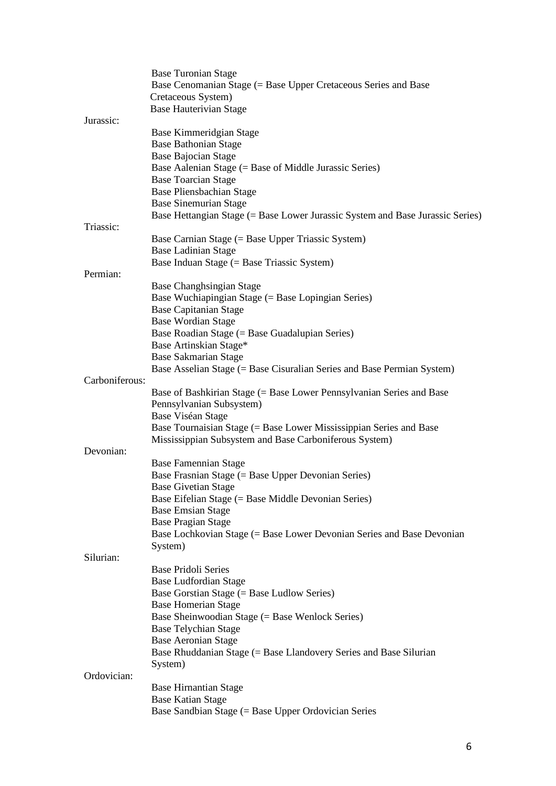|                | <b>Base Turonian Stage</b><br>Base Cenomanian Stage (= Base Upper Cretaceous Series and Base<br>Cretaceous System) |
|----------------|--------------------------------------------------------------------------------------------------------------------|
|                | <b>Base Hauterivian Stage</b>                                                                                      |
| Jurassic:      |                                                                                                                    |
|                | Base Kimmeridgian Stage                                                                                            |
|                | <b>Base Bathonian Stage</b>                                                                                        |
|                | <b>Base Bajocian Stage</b>                                                                                         |
|                | Base Aalenian Stage (= Base of Middle Jurassic Series)                                                             |
|                | <b>Base Toarcian Stage</b>                                                                                         |
|                | <b>Base Pliensbachian Stage</b>                                                                                    |
|                | <b>Base Sinemurian Stage</b><br>Base Hettangian Stage (= Base Lower Jurassic System and Base Jurassic Series)      |
| Triassic:      |                                                                                                                    |
|                | Base Carnian Stage (= Base Upper Triassic System)                                                                  |
|                | <b>Base Ladinian Stage</b>                                                                                         |
|                | Base Induan Stage (= Base Triassic System)                                                                         |
| Permian:       |                                                                                                                    |
|                | Base Changhsingian Stage                                                                                           |
|                | Base Wuchiapingian Stage (= Base Lopingian Series)                                                                 |
|                | <b>Base Capitanian Stage</b>                                                                                       |
|                | <b>Base Wordian Stage</b>                                                                                          |
|                | Base Roadian Stage (= Base Guadalupian Series)                                                                     |
|                | Base Artinskian Stage*                                                                                             |
|                | <b>Base Sakmarian Stage</b>                                                                                        |
|                | Base Asselian Stage (= Base Cisuralian Series and Base Permian System)                                             |
| Carboniferous: |                                                                                                                    |
|                | Base of Bashkirian Stage (= Base Lower Pennsylvanian Series and Base                                               |
|                | Pennsylvanian Subsystem)                                                                                           |
|                | Base Viséan Stage<br>Base Tournaisian Stage (= Base Lower Mississippian Series and Base                            |
|                | Mississippian Subsystem and Base Carboniferous System)                                                             |
| Devonian:      |                                                                                                                    |
|                | <b>Base Famennian Stage</b>                                                                                        |
|                | Base Frasnian Stage (= Base Upper Devonian Series)                                                                 |
|                | <b>Base Givetian Stage</b>                                                                                         |
|                | Base Eifelian Stage (= Base Middle Devonian Series)                                                                |
|                | <b>Base Emsian Stage</b>                                                                                           |
|                | <b>Base Pragian Stage</b>                                                                                          |
|                | Base Lochkovian Stage (= Base Lower Devonian Series and Base Devonian                                              |
|                | System)                                                                                                            |
| Silurian:      |                                                                                                                    |
|                | <b>Base Pridoli Series</b>                                                                                         |
|                | <b>Base Ludfordian Stage</b>                                                                                       |
|                | Base Gorstian Stage (= Base Ludlow Series)                                                                         |
|                | <b>Base Homerian Stage</b>                                                                                         |
|                | Base Sheinwoodian Stage (= Base Wenlock Series)                                                                    |
|                | <b>Base Telychian Stage</b>                                                                                        |
|                | <b>Base Aeronian Stage</b>                                                                                         |
|                | Base Rhuddanian Stage (= Base Llandovery Series and Base Silurian<br>System)                                       |
| Ordovician:    |                                                                                                                    |
|                | <b>Base Hirnantian Stage</b>                                                                                       |
|                | <b>Base Katian Stage</b>                                                                                           |
|                | Base Sandbian Stage (= Base Upper Ordovician Series                                                                |
|                |                                                                                                                    |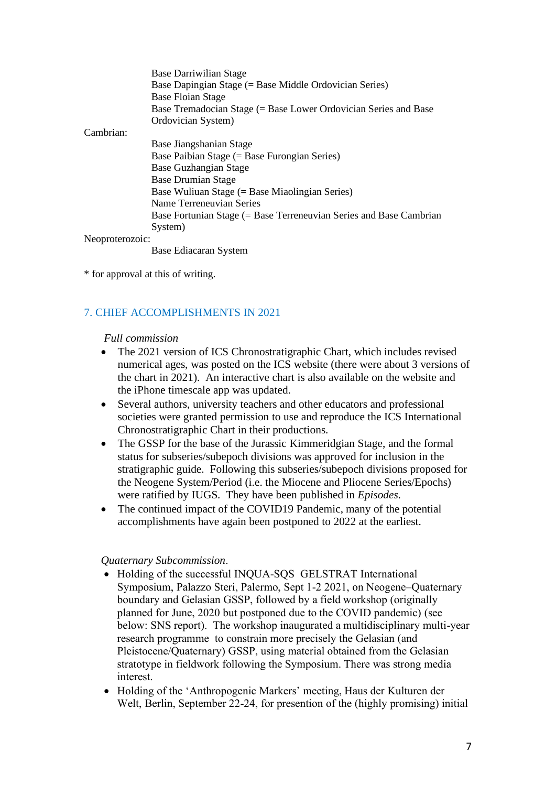|                 | <b>Base Darriwilian Stage</b><br>Base Dapingian Stage (= Base Middle Ordovician Series)<br>Base Floian Stage |
|-----------------|--------------------------------------------------------------------------------------------------------------|
|                 | Base Tremadocian Stage (= Base Lower Ordovician Series and Base                                              |
|                 | Ordovician System)                                                                                           |
| Cambrian:       |                                                                                                              |
|                 | Base Jiangshanian Stage                                                                                      |
|                 | Base Paibian Stage (= Base Furongian Series)                                                                 |
|                 | Base Guzhangian Stage                                                                                        |
|                 | <b>Base Drumian Stage</b>                                                                                    |
|                 | Base Wuliuan Stage (= Base Miaolingian Series)                                                               |
|                 | Name Terreneuvian Series                                                                                     |
|                 | Base Fortunian Stage (= Base Terreneuvian Series and Base Cambrian                                           |
|                 | System)                                                                                                      |
| Neoproterozoic: |                                                                                                              |
|                 |                                                                                                              |

Base Ediacaran System

\* for approval at this of writing.

### 7. CHIEF ACCOMPLISHMENTS IN 2021

#### *Full commission*

- The 2021 version of ICS Chronostratigraphic Chart, which includes revised numerical ages, was posted on the ICS website (there were about 3 versions of the chart in 2021). An interactive chart is also available on the website and the iPhone timescale app was updated.
- Several authors, university teachers and other educators and professional societies were granted permission to use and reproduce the ICS International Chronostratigraphic Chart in their productions.
- The GSSP for the base of the Jurassic Kimmeridgian Stage, and the formal status for subseries/subepoch divisions was approved for inclusion in the stratigraphic guide. Following this subseries/subepoch divisions proposed for the Neogene System/Period (i.e. the Miocene and Pliocene Series/Epochs) were ratified by IUGS. They have been published in *Episodes*.
- The continued impact of the COVID19 Pandemic, many of the potential accomplishments have again been postponed to 2022 at the earliest.

#### *Quaternary Subcommission*.

- Holding of the successful INQUA-SQS GELSTRAT International Symposium, Palazzo Steri, Palermo, Sept 1-2 2021, on Neogene–Quaternary boundary and Gelasian GSSP, followed by a field workshop (originally planned for June, 2020 but postponed due to the COVID pandemic) (see below: SNS report). The workshop inaugurated a multidisciplinary multi-year research programme to constrain more precisely the Gelasian (and Pleistocene/Quaternary) GSSP, using material obtained from the Gelasian stratotype in fieldwork following the Symposium. There was strong media interest.
- Holding of the 'Anthropogenic Markers' meeting, Haus der Kulturen der Welt, Berlin, September 22-24, for presention of the (highly promising) initial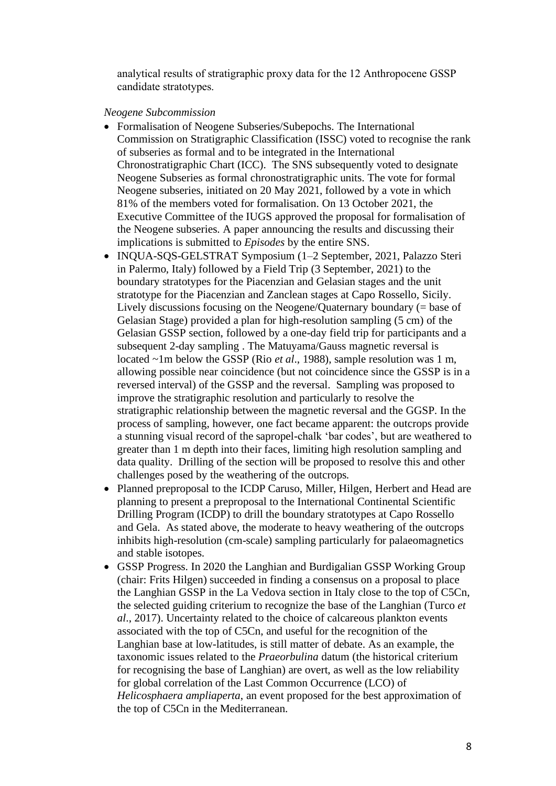analytical results of stratigraphic proxy data for the 12 Anthropocene GSSP candidate stratotypes.

*Neogene Subcommission*

- Formalisation of Neogene Subseries/Subepochs. The International Commission on Stratigraphic Classification (ISSC) voted to recognise the rank of subseries as formal and to be integrated in the International Chronostratigraphic Chart (ICC). The SNS subsequently voted to designate Neogene Subseries as formal chronostratigraphic units. The vote for formal Neogene subseries, initiated on 20 May 2021, followed by a vote in which 81% of the members voted for formalisation. On 13 October 2021, the Executive Committee of the IUGS approved the proposal for formalisation of the Neogene subseries. A paper announcing the results and discussing their implications is submitted to *Episodes* by the entire SNS.
- INOUA-SOS-GELSTRAT Symposium (1–2 September, 2021, Palazzo Steri in Palermo, Italy) followed by a Field Trip (3 September, 2021) to the boundary stratotypes for the Piacenzian and Gelasian stages and the unit stratotype for the Piacenzian and Zanclean stages at Capo Rossello, Sicily. Lively discussions focusing on the Neogene/Quaternary boundary (= base of Gelasian Stage) provided a plan for high-resolution sampling (5 cm) of the Gelasian GSSP section, followed by a one-day field trip for participants and a subsequent 2-day sampling . The Matuyama/Gauss magnetic reversal is located ~1m below the GSSP (Rio *et al*., 1988), sample resolution was 1 m, allowing possible near coincidence (but not coincidence since the GSSP is in a reversed interval) of the GSSP and the reversal. Sampling was proposed to improve the stratigraphic resolution and particularly to resolve the stratigraphic relationship between the magnetic reversal and the GGSP. In the process of sampling, however, one fact became apparent: the outcrops provide a stunning visual record of the sapropel-chalk 'bar codes', but are weathered to greater than 1 m depth into their faces, limiting high resolution sampling and data quality. Drilling of the section will be proposed to resolve this and other challenges posed by the weathering of the outcrops.
- Planned preproposal to the ICDP Caruso, Miller, Hilgen, Herbert and Head are planning to present a preproposal to the International Continental Scientific Drilling Program (ICDP) to drill the boundary stratotypes at Capo Rossello and Gela. As stated above, the moderate to heavy weathering of the outcrops inhibits high-resolution (cm-scale) sampling particularly for palaeomagnetics and stable isotopes.
- GSSP Progress. In 2020 the Langhian and Burdigalian GSSP Working Group (chair: Frits Hilgen) succeeded in finding a consensus on a proposal to place the Langhian GSSP in the La Vedova section in Italy close to the top of C5Cn, the selected guiding criterium to recognize the base of the Langhian (Turco *et al*., 2017). Uncertainty related to the choice of calcareous plankton events associated with the top of C5Cn, and useful for the recognition of the Langhian base at low-latitudes, is still matter of debate. As an example, the taxonomic issues related to the *Praeorbulina* datum (the historical criterium for recognising the base of Langhian) are overt, as well as the low reliability for global correlation of the Last Common Occurrence (LCO) of *Helicosphaera ampliaperta*, an event proposed for the best approximation of the top of C5Cn in the Mediterranean.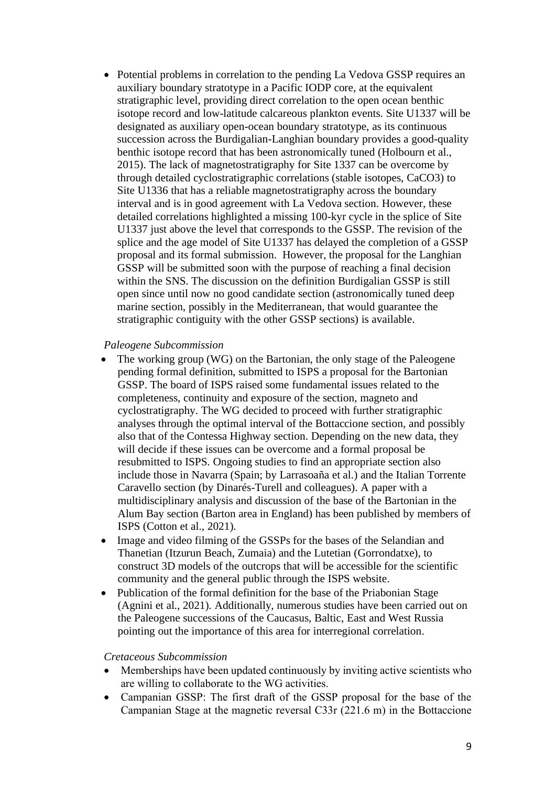• Potential problems in correlation to the pending La Vedova GSSP requires an auxiliary boundary stratotype in a Pacific IODP core, at the equivalent stratigraphic level, providing direct correlation to the open ocean benthic isotope record and low-latitude calcareous plankton events. Site U1337 will be designated as auxiliary open-ocean boundary stratotype, as its continuous succession across the Burdigalian-Langhian boundary provides a good-quality benthic isotope record that has been astronomically tuned (Holbourn et al., 2015). The lack of magnetostratigraphy for Site 1337 can be overcome by through detailed cyclostratigraphic correlations (stable isotopes, CaCO3) to Site U1336 that has a reliable magnetostratigraphy across the boundary interval and is in good agreement with La Vedova section. However, these detailed correlations highlighted a missing 100-kyr cycle in the splice of Site U1337 just above the level that corresponds to the GSSP. The revision of the splice and the age model of Site U1337 has delayed the completion of a GSSP proposal and its formal submission. However, the proposal for the Langhian GSSP will be submitted soon with the purpose of reaching a final decision within the SNS. The discussion on the definition Burdigalian GSSP is still open since until now no good candidate section (astronomically tuned deep marine section, possibly in the Mediterranean, that would guarantee the stratigraphic contiguity with the other GSSP sections) is available.

#### *Paleogene Subcommission*

- The working group (WG) on the Bartonian, the only stage of the Paleogene pending formal definition, submitted to ISPS a proposal for the Bartonian GSSP. The board of ISPS raised some fundamental issues related to the completeness, continuity and exposure of the section, magneto and cyclostratigraphy. The WG decided to proceed with further stratigraphic analyses through the optimal interval of the Bottaccione section, and possibly also that of the Contessa Highway section. Depending on the new data, they will decide if these issues can be overcome and a formal proposal be resubmitted to ISPS. Ongoing studies to find an appropriate section also include those in Navarra (Spain; by Larrasoaña et al.) and the Italian Torrente Caravello section (by Dinarés-Turell and colleagues). A paper with a multidisciplinary analysis and discussion of the base of the Bartonian in the Alum Bay section (Barton area in England) has been published by members of ISPS (Cotton et al., 2021).
- Image and video filming of the GSSPs for the bases of the Selandian and Thanetian (Itzurun Beach, Zumaia) and the Lutetian (Gorrondatxe), to construct 3D models of the outcrops that will be accessible for the scientific community and the general public through the ISPS website.
- Publication of the formal definition for the base of the Priabonian Stage (Agnini et al., 2021). Additionally, numerous studies have been carried out on the Paleogene successions of the Caucasus, Baltic, East and West Russia pointing out the importance of this area for interregional correlation.

#### *Cretaceous Subcommission*

- Memberships have been updated continuously by inviting active scientists who are willing to collaborate to the WG activities.
- Campanian GSSP: The first draft of the GSSP proposal for the base of the Campanian Stage at the magnetic reversal C33r (221.6 m) in the Bottaccione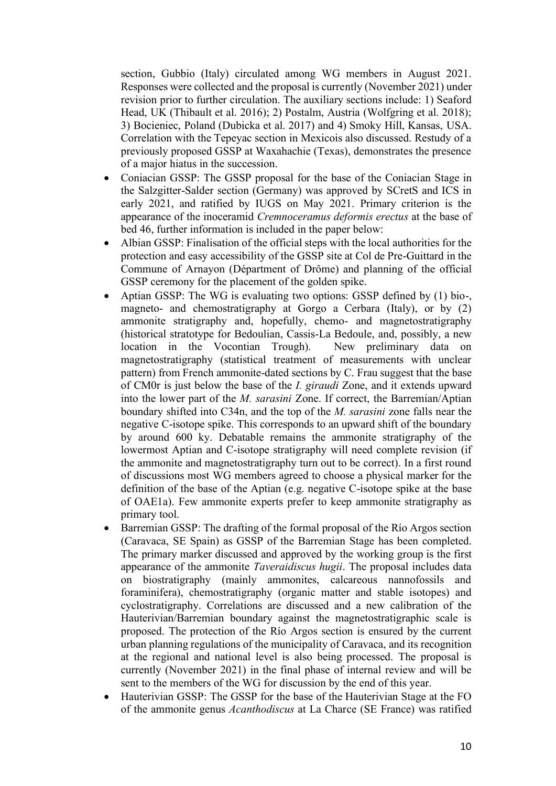section, Gubbio (Italy) circulated among WG members in August 2021. Responses were collected and the proposal is currently (November 2021) under revision prior to further circulation. The auxiliary sections include: 1) Seaford Head, UK (Thibault et al. 2016); 2) Postalm, Austria (Wolfgring et al. 2018); 3) Bocieniec, Poland (Dubicka et al. 2017) and 4) Smoky Hill, Kansas, USA. Correlation with the Tepeyac section in Mexicois also discussed. Restudy of a previously proposed GSSP at Waxahachie (Texas), demonstrates the presence of a major hiatus in the succession.

- Coniacian GSSP: The GSSP proposal for the base of the Coniacian Stage in the Salzgitter-Salder section (Germany) was approved by SCretS and ICS in early 2021, and ratified by IUGS on May 2021. Primary criterion is the appearance of the inoceramid *Cremnoceramus deformis erectus* at the base of bed 46, further information is included in the paper below:
- Albian GSSP: Finalisation of the official steps with the local authorities for the protection and easy accessibility of the GSSP site at Col de Pre-Guittard in the Commune of Arnayon (Départment of Drôme) and planning of the official GSSP ceremony for the placement of the golden spike.
- Aptian GSSP: The WG is evaluating two options: GSSP defined by (1) bio-, magneto- and chemostratigraphy at Gorgo a Cerbara (Italy), or by (2) ammonite stratigraphy and, hopefully, chemo- and magnetostratigraphy (historical stratotype for Bedoulian, Cassis-La Bedoule, and, possibly, a new location in the Vocontian Trough). New preliminary data on magnetostratigraphy (statistical treatment of measurements with unclear pattern) from French ammonite-dated sections by C. Frau suggest that the base of CM0r is just below the base of the *I. giraudi* Zone, and it extends upward into the lower part of the *M. sarasini* Zone. If correct, the Barremian/Aptian boundary shifted into C34n, and the top of the *M. sarasini* zone falls near the negative C-isotope spike. This corresponds to an upward shift of the boundary by around 600 ky. Debatable remains the ammonite stratigraphy of the lowermost Aptian and C-isotope stratigraphy will need complete revision (if the ammonite and magnetostratigraphy turn out to be correct). In a first round of discussions most WG members agreed to choose a physical marker for the definition of the base of the Aptian (e.g. negative C-isotope spike at the base of OAE1a). Few ammonite experts prefer to keep ammonite stratigraphy as primary tool.
- Barremian GSSP: The drafting of the formal proposal of the Río Argos section (Caravaca, SE Spain) as GSSP of the Barremian Stage has been completed. The primary marker discussed and approved by the working group is the first appearance of the ammonite *Taveraidiscus hugii*. The proposal includes data on biostratigraphy (mainly ammonites, calcareous nannofossils and foraminifera), chemostratigraphy (organic matter and stable isotopes) and cyclostratigraphy. Correlations are discussed and a new calibration of the Hauterivian/Barremian boundary against the magnetostratigraphic scale is proposed. The protection of the Río Argos section is ensured by the current urban planning regulations of the municipality of Caravaca, and its recognition at the regional and national level is also being processed. The proposal is currently (November 2021) in the final phase of internal review and will be sent to the members of the WG for discussion by the end of this year.
- Hauterivian GSSP: The GSSP for the base of the Hauterivian Stage at the FO of the ammonite genus *Acanthodiscus* at La Charce (SE France) was ratified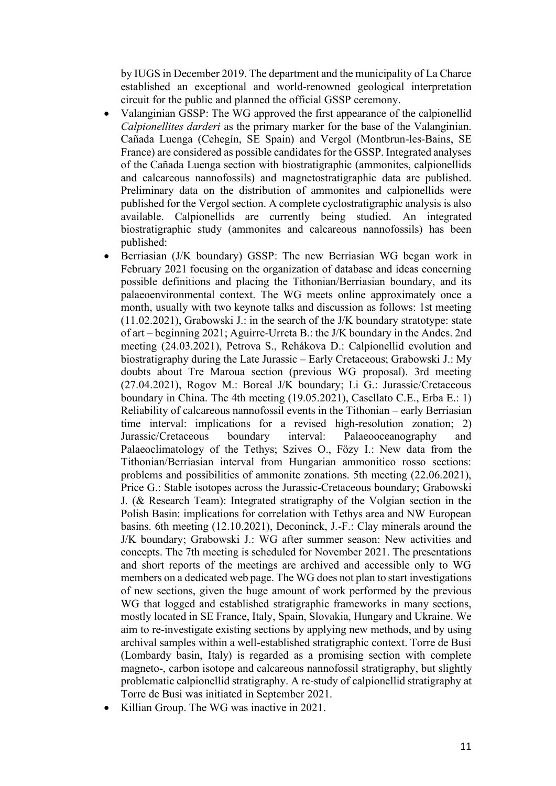by IUGS in December 2019. The department and the municipality of La Charce established an exceptional and world-renowned geological interpretation circuit for the public and planned the official GSSP ceremony.

- Valanginian GSSP: The WG approved the first appearance of the calpionellid *Calpionellites darderi* as the primary marker for the base of the Valanginian. Cañada Luenga (Cehegín, SE Spain) and Vergol (Montbrun-les-Bains, SE France) are considered as possible candidates for the GSSP. Integrated analyses of the Cañada Luenga section with biostratigraphic (ammonites, calpionellids and calcareous nannofossils) and magnetostratigraphic data are published. Preliminary data on the distribution of ammonites and calpionellids were published for the Vergol section. A complete cyclostratigraphic analysis is also available. Calpionellids are currently being studied. An integrated biostratigraphic study (ammonites and calcareous nannofossils) has been published:
- Berriasian (J/K boundary) GSSP: The new Berriasian WG began work in February 2021 focusing on the organization of database and ideas concerning possible definitions and placing the Tithonian/Berriasian boundary, and its palaeoenvironmental context. The WG meets online approximately once a month, usually with two keynote talks and discussion as follows: 1st meeting (11.02.2021), Grabowski J.: in the search of the J/K boundary stratotype: state of art – beginning 2021; Aguirre-Urreta B.: the J/K boundary in the Andes. 2nd meeting (24.03.2021), Petrova S., Rehákova D.: Calpionellid evolution and biostratigraphy during the Late Jurassic – Early Cretaceous; Grabowski J.: My doubts about Tre Maroua section (previous WG proposal). 3rd meeting (27.04.2021), Rogov M.: Boreal J/K boundary; Li G.: Jurassic/Cretaceous boundary in China. The 4th meeting (19.05.2021), Casellato C.E., Erba E.: 1) Reliability of calcareous nannofossil events in the Tithonian – early Berriasian time interval: implications for a revised high-resolution zonation; 2) Jurassic/Cretaceous boundary interval: Palaeooceanography and Palaeoclimatology of the Tethys; Szives O., Fözy I.: New data from the Tithonian/Berriasian interval from Hungarian ammonitico rosso sections: problems and possibilities of ammonite zonations. 5th meeting (22.06.2021), Price G.: Stable isotopes across the Jurassic-Cretaceous boundary; Grabowski J. (& Research Team): Integrated stratigraphy of the Volgian section in the Polish Basin: implications for correlation with Tethys area and NW European basins. 6th meeting (12.10.2021), Deconinck, J.-F.: Clay minerals around the J/K boundary; Grabowski J.: WG after summer season: New activities and concepts. The 7th meeting is scheduled for November 2021. The presentations and short reports of the meetings are archived and accessible only to WG members on a dedicated web page. The WG does not plan to start investigations of new sections, given the huge amount of work performed by the previous WG that logged and established stratigraphic frameworks in many sections, mostly located in SE France, Italy, Spain, Slovakia, Hungary and Ukraine. We aim to re-investigate existing sections by applying new methods, and by using archival samples within a well-established stratigraphic context. Torre de Busi (Lombardy basin, Italy) is regarded as a promising section with complete magneto-, carbon isotope and calcareous nannofossil stratigraphy, but slightly problematic calpionellid stratigraphy. A re-study of calpionellid stratigraphy at Torre de Busi was initiated in September 2021.
- Killian Group. The WG was inactive in 2021.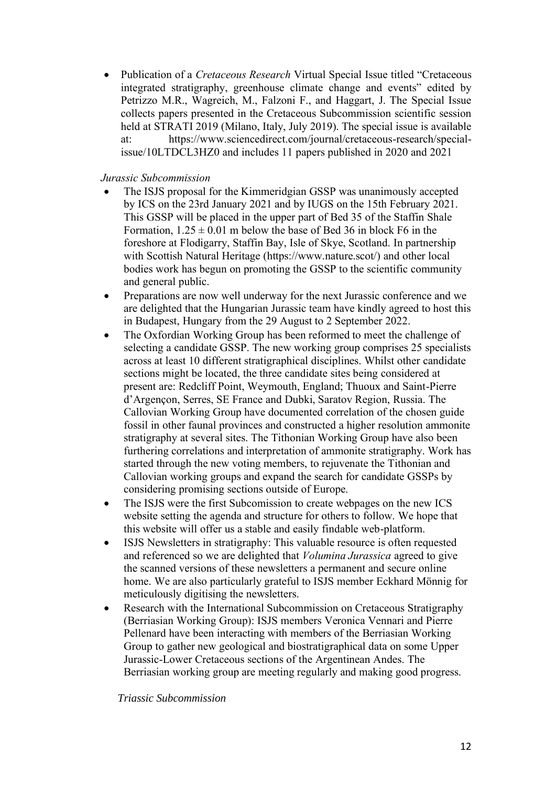• Publication of a *Cretaceous Research* Virtual Special Issue titled "Cretaceous integrated stratigraphy, greenhouse climate change and events" edited by Petrizzo M.R., Wagreich, M., Falzoni F., and Haggart, J. The Special Issue collects papers presented in the Cretaceous Subcommission scientific session held at STRATI 2019 (Milano, Italy, July 2019). The special issue is available at: https://www.sciencedirect.com/journal/cretaceous-research/specialissue/10LTDCL3HZ0 and includes 11 papers published in 2020 and 2021

### *Jurassic Subcommission*

- The ISJS proposal for the Kimmeridgian GSSP was unanimously accepted by ICS on the 23rd January 2021 and by IUGS on the 15th February 2021. This GSSP will be placed in the upper part of Bed 35 of the Staffin Shale Formation,  $1.25 \pm 0.01$  m below the base of Bed 36 in block F6 in the foreshore at Flodigarry, Staffin Bay, Isle of Skye, Scotland. In partnership with Scottish Natural Heritage (https://www.nature.scot/) and other local bodies work has begun on promoting the GSSP to the scientific community and general public.
- Preparations are now well underway for the next Jurassic conference and we are delighted that the Hungarian Jurassic team have kindly agreed to host this in Budapest, Hungary from the 29 August to 2 September 2022.
- The Oxfordian Working Group has been reformed to meet the challenge of selecting a candidate GSSP. The new working group comprises 25 specialists across at least 10 different stratigraphical disciplines. Whilst other candidate sections might be located, the three candidate sites being considered at present are: Redcliff Point, Weymouth, England; Thuoux and Saint-Pierre d'Argençon, Serres, SE France and Dubki, Saratov Region, Russia. The Callovian Working Group have documented correlation of the chosen guide fossil in other faunal provinces and constructed a higher resolution ammonite stratigraphy at several sites. The Tithonian Working Group have also been furthering correlations and interpretation of ammonite stratigraphy. Work has started through the new voting members, to rejuvenate the Tithonian and Callovian working groups and expand the search for candidate GSSPs by considering promising sections outside of Europe.
- The ISJS were the first Subcomission to create webpages on the new ICS website setting the agenda and structure for others to follow. We hope that this website will offer us a stable and easily findable web-platform.
- ISJS Newsletters in stratigraphy: This valuable resource is often requested and referenced so we are delighted that *Volumina Jurassica* agreed to give the scanned versions of these newsletters a permanent and secure online home. We are also particularly grateful to ISJS member Eckhard Mönnig for meticulously digitising the newsletters.
- Research with the International Subcommission on Cretaceous Stratigraphy (Berriasian Working Group): ISJS members Veronica Vennari and Pierre Pellenard have been interacting with members of the Berriasian Working Group to gather new geological and biostratigraphical data on some Upper Jurassic-Lower Cretaceous sections of the Argentinean Andes. The Berriasian working group are meeting regularly and making good progress.

#### *Triassic Subcommission*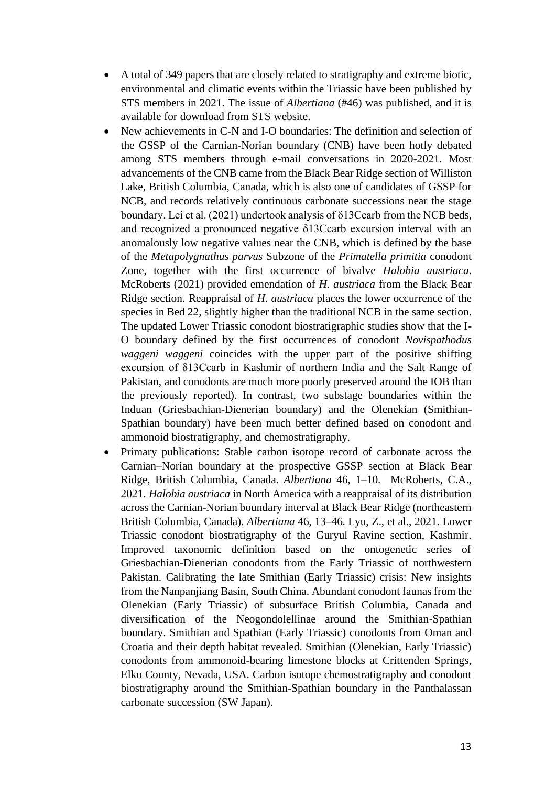- A total of 349 papers that are closely related to stratigraphy and extreme biotic, environmental and climatic events within the Triassic have been published by STS members in 2021. The issue of *Albertiana* (#46) was published, and it is available for download from STS website.
- New achievements in C-N and I-O boundaries: The definition and selection of the GSSP of the Carnian-Norian boundary (CNB) have been hotly debated among STS members through e-mail conversations in 2020-2021. Most advancements of the CNB came from the Black Bear Ridge section of Williston Lake, British Columbia, Canada, which is also one of candidates of GSSP for NCB, and records relatively continuous carbonate successions near the stage boundary. Lei et al. (2021) undertook analysis of δ13Ccarb from the NCB beds, and recognized a pronounced negative δ13Ccarb excursion interval with an anomalously low negative values near the CNB, which is defined by the base of the *Metapolygnathus parvus* Subzone of the *Primatella primitia* conodont Zone, together with the first occurrence of bivalve *Halobia austriaca*. McRoberts (2021) provided emendation of *H. austriaca* from the Black Bear Ridge section. Reappraisal of *H. austriaca* places the lower occurrence of the species in Bed 22, slightly higher than the traditional NCB in the same section. The updated Lower Triassic conodont biostratigraphic studies show that the I-O boundary defined by the first occurrences of conodont *Novispathodus waggeni waggeni* coincides with the upper part of the positive shifting excursion of δ13Ccarb in Kashmir of northern India and the Salt Range of Pakistan, and conodonts are much more poorly preserved around the IOB than the previously reported). In contrast, two substage boundaries within the Induan (Griesbachian-Dienerian boundary) and the Olenekian (Smithian-Spathian boundary) have been much better defined based on conodont and ammonoid biostratigraphy, and chemostratigraphy.
- Primary publications: Stable carbon isotope record of carbonate across the Carnian–Norian boundary at the prospective GSSP section at Black Bear Ridge, British Columbia, Canada. *Albertiana* 46, 1–10. McRoberts, C.A., 2021. *Halobia austriaca* in North America with a reappraisal of its distribution across the Carnian-Norian boundary interval at Black Bear Ridge (northeastern British Columbia, Canada). *Albertiana* 46, 13–46. Lyu, Z., et al., 2021. Lower Triassic conodont biostratigraphy of the Guryul Ravine section, Kashmir. Improved taxonomic definition based on the ontogenetic series of Griesbachian-Dienerian conodonts from the Early Triassic of northwestern Pakistan. Calibrating the late Smithian (Early Triassic) crisis: New insights from the Nanpanjiang Basin, South China. Abundant conodont faunas from the Olenekian (Early Triassic) of subsurface British Columbia, Canada and diversification of the Neogondolellinae around the Smithian-Spathian boundary. Smithian and Spathian (Early Triassic) conodonts from Oman and Croatia and their depth habitat revealed. Smithian (Olenekian, Early Triassic) conodonts from ammonoid-bearing limestone blocks at Crittenden Springs, Elko County, Nevada, USA. Carbon isotope chemostratigraphy and conodont biostratigraphy around the Smithian-Spathian boundary in the Panthalassan carbonate succession (SW Japan).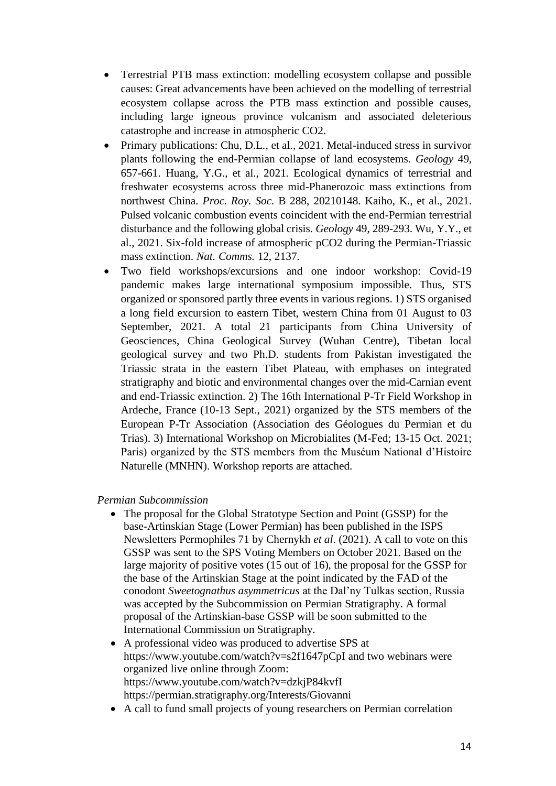- Terrestrial PTB mass extinction: modelling ecosystem collapse and possible causes: Great advancements have been achieved on the modelling of terrestrial ecosystem collapse across the PTB mass extinction and possible causes, including large igneous province volcanism and associated deleterious catastrophe and increase in atmospheric CO2.
- Primary publications: Chu, D.L., et al., 2021. Metal-induced stress in survivor plants following the end-Permian collapse of land ecosystems. *Geology* 49, 657-661. Huang, Y.G., et al., 2021. Ecological dynamics of terrestrial and freshwater ecosystems across three mid-Phanerozoic mass extinctions from northwest China. *Proc. Roy. Soc.* B 288, 20210148. Kaiho, K., et al., 2021. Pulsed volcanic combustion events coincident with the end-Permian terrestrial disturbance and the following global crisis. *Geology* 49, 289-293. Wu, Y.Y., et al., 2021. Six-fold increase of atmospheric pCO2 during the Permian-Triassic mass extinction. *Nat. Comms.* 12, 2137.
- Two field workshops/excursions and one indoor workshop: Covid-19 pandemic makes large international symposium impossible. Thus, STS organized or sponsored partly three events in various regions. 1) STS organised a long field excursion to eastern Tibet, western China from 01 August to 03 September, 2021. A total 21 participants from China University of Geosciences, China Geological Survey (Wuhan Centre), Tibetan local geological survey and two Ph.D. students from Pakistan investigated the Triassic strata in the eastern Tibet Plateau, with emphases on integrated stratigraphy and biotic and environmental changes over the mid-Carnian event and end-Triassic extinction. 2) The 16th International P-Tr Field Workshop in Ardeche, France (10-13 Sept., 2021) organized by the STS members of the European P-Tr Association (Association des Géologues du Permian et du Trias). 3) International Workshop on Microbialites (M-Fed; 13-15 Oct. 2021; Paris) organized by the STS members from the Muséum National d'Histoire Naturelle (MNHN). Workshop reports are attached.

*Permian Subcommission*

- The proposal for the Global Stratotype Section and Point (GSSP) for the base-Artinskian Stage (Lower Permian) has been published in the ISPS Newsletters Permophiles 71 by Chernykh *et al*. (2021). A call to vote on this GSSP was sent to the SPS Voting Members on October 2021. Based on the large majority of positive votes (15 out of 16), the proposal for the GSSP for the base of the Artinskian Stage at the point indicated by the FAD of the conodont *Sweetognathus asymmetricus* at the Dal'ny Tulkas section, Russia was accepted by the Subcommission on Permian Stratigraphy. A formal proposal of the Artinskian-base GSSP will be soon submitted to the International Commission on Stratigraphy.
- A professional video was produced to advertise SPS at https://www.youtube.com/watch?v=s2f1647pCpI and two webinars were organized live online through Zoom: https://www.youtube.com/watch?v=dzkjP84kvfI https://permian.stratigraphy.org/Interests/Giovanni
- A call to fund small projects of young researchers on Permian correlation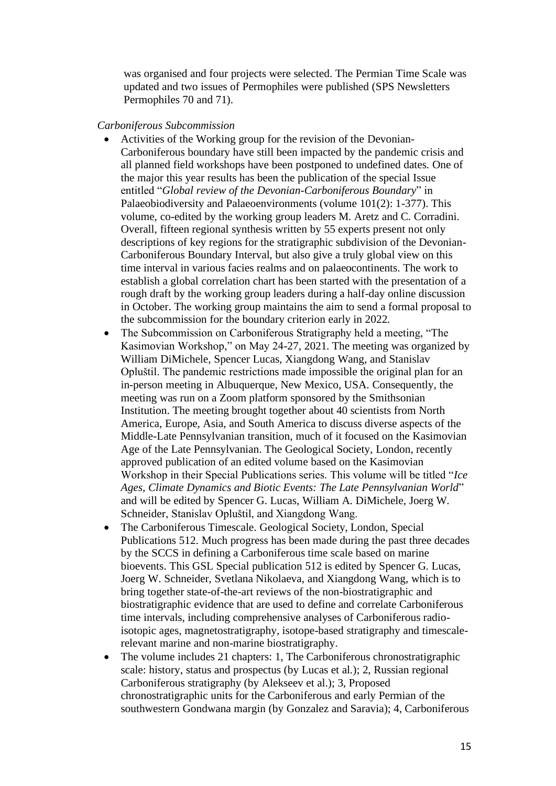was organised and four projects were selected. The Permian Time Scale was updated and two issues of Permophiles were published (SPS Newsletters Permophiles 70 and 71).

#### *Carboniferous Subcommission*

- Activities of the Working group for the revision of the Devonian-Carboniferous boundary have still been impacted by the pandemic crisis and all planned field workshops have been postponed to undefined dates. One of the major this year results has been the publication of the special Issue entitled "*Global review of the Devonian-Carboniferous Boundary*" in Palaeobiodiversity and Palaeoenvironments (volume 101(2): 1-377). This volume, co-edited by the working group leaders M. Aretz and C. Corradini. Overall, fifteen regional synthesis written by 55 experts present not only descriptions of key regions for the stratigraphic subdivision of the Devonian-Carboniferous Boundary Interval, but also give a truly global view on this time interval in various facies realms and on palaeocontinents. The work to establish a global correlation chart has been started with the presentation of a rough draft by the working group leaders during a half-day online discussion in October. The working group maintains the aim to send a formal proposal to the subcommission for the boundary criterion early in 2022.
- The Subcommission on Carboniferous Stratigraphy held a meeting, "The Kasimovian Workshop," on May 24-27, 2021. The meeting was organized by William DiMichele, Spencer Lucas, Xiangdong Wang, and Stanislav Opluštil. The pandemic restrictions made impossible the original plan for an in-person meeting in Albuquerque, New Mexico, USA. Consequently, the meeting was run on a Zoom platform sponsored by the Smithsonian Institution. The meeting brought together about 40 scientists from North America, Europe, Asia, and South America to discuss diverse aspects of the Middle-Late Pennsylvanian transition, much of it focused on the Kasimovian Age of the Late Pennsylvanian. The Geological Society, London, recently approved publication of an edited volume based on the Kasimovian Workshop in their Special Publications series. This volume will be titled "*Ice Ages, Climate Dynamics and Biotic Events: The Late Pennsylvanian World*" and will be edited by Spencer G. Lucas, William A. DiMichele, Joerg W. Schneider, Stanislav Opluštil, and Xiangdong Wang.
- The Carboniferous Timescale. Geological Society, London, Special Publications 512. Much progress has been made during the past three decades by the SCCS in defining a Carboniferous time scale based on marine bioevents. This GSL Special publication 512 is edited by Spencer G. Lucas, Joerg W. Schneider, Svetlana Nikolaeva, and Xiangdong Wang, which is to bring together state-of-the-art reviews of the non-biostratigraphic and biostratigraphic evidence that are used to define and correlate Carboniferous time intervals, including comprehensive analyses of Carboniferous radioisotopic ages, magnetostratigraphy, isotope-based stratigraphy and timescalerelevant marine and non-marine biostratigraphy.
- The volume includes 21 chapters: 1, The Carboniferous chronostratigraphic scale: history, status and prospectus (by Lucas et al.); 2, Russian regional Carboniferous stratigraphy (by Alekseev et al.); 3, Proposed chronostratigraphic units for the Carboniferous and early Permian of the southwestern Gondwana margin (by Gonzalez and Saravia); 4, Carboniferous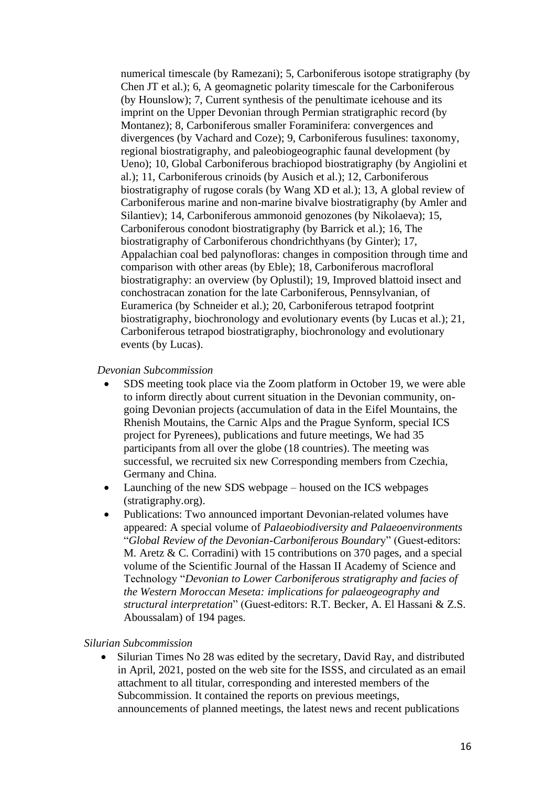numerical timescale (by Ramezani); 5, Carboniferous isotope stratigraphy (by Chen JT et al.); 6, A geomagnetic polarity timescale for the Carboniferous (by Hounslow); 7, Current synthesis of the penultimate icehouse and its imprint on the Upper Devonian through Permian stratigraphic record (by Montanez); 8, Carboniferous smaller Foraminifera: convergences and divergences (by Vachard and Coze); 9, Carboniferous fusulines: taxonomy, regional biostratigraphy, and paleobiogeographic faunal development (by Ueno); 10, Global Carboniferous brachiopod biostratigraphy (by Angiolini et al.); 11, Carboniferous crinoids (by Ausich et al.); 12, Carboniferous biostratigraphy of rugose corals (by Wang XD et al.); 13, A global review of Carboniferous marine and non-marine bivalve biostratigraphy (by Amler and Silantiev); 14, Carboniferous ammonoid genozones (by Nikolaeva); 15, Carboniferous conodont biostratigraphy (by Barrick et al.); 16, The biostratigraphy of Carboniferous chondrichthyans (by Ginter); 17, Appalachian coal bed palynofloras: changes in composition through time and comparison with other areas (by Eble); 18, Carboniferous macrofloral biostratigraphy: an overview (by Oplustil); 19, Improved blattoid insect and conchostracan zonation for the late Carboniferous, Pennsylvanian, of Euramerica (by Schneider et al.); 20, Carboniferous tetrapod footprint biostratigraphy, biochronology and evolutionary events (by Lucas et al.); 21, Carboniferous tetrapod biostratigraphy, biochronology and evolutionary events (by Lucas).

#### *Devonian Subcommission*

- SDS meeting took place via the Zoom platform in October 19, we were able to inform directly about current situation in the Devonian community, ongoing Devonian projects (accumulation of data in the Eifel Mountains, the Rhenish Moutains, the Carnic Alps and the Prague Synform, special ICS project for Pyrenees), publications and future meetings, We had 35 participants from all over the globe (18 countries). The meeting was successful, we recruited six new Corresponding members from Czechia, Germany and China.
- Launching of the new SDS webpage housed on the ICS webpages (stratigraphy.org).
- Publications: Two announced important Devonian-related volumes have appeared: A special volume of *Palaeobiodiversity and Palaeoenvironments*  "*Global Review of the Devonian-Carboniferous Boundar*y" (Guest-editors: M. Aretz & C. Corradini) with 15 contributions on 370 pages, and a special volume of the Scientific Journal of the Hassan II Academy of Science and Technology "*Devonian to Lower Carboniferous stratigraphy and facies of the Western Moroccan Meseta: implications for palaeogeography and structural interpretation*" (Guest-editors: R.T. Becker, A. El Hassani & Z.S. Aboussalam) of 194 pages.

#### *Silurian Subcommission*

• Silurian Times No 28 was edited by the secretary, David Ray, and distributed in April, 2021, posted on the web site for the ISSS, and circulated as an email attachment to all titular, corresponding and interested members of the Subcommission. It contained the reports on previous meetings, announcements of planned meetings, the latest news and recent publications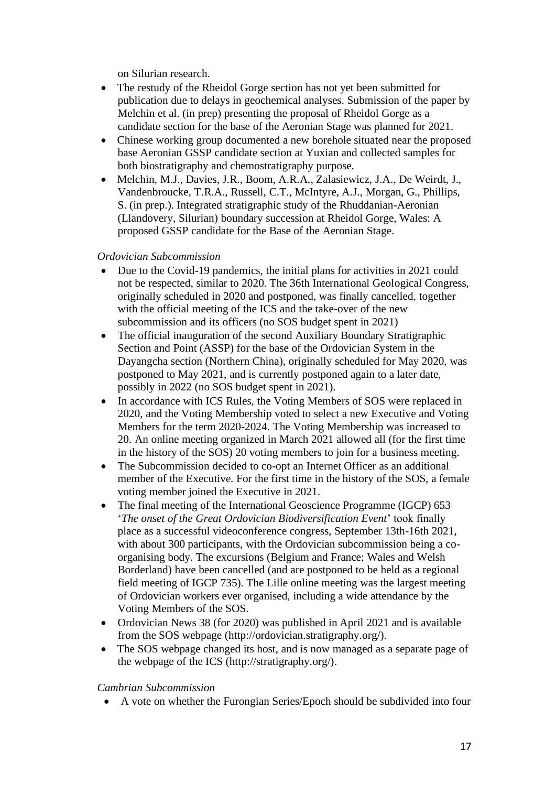on Silurian research.

- The restudy of the Rheidol Gorge section has not yet been submitted for publication due to delays in geochemical analyses. Submission of the paper by Melchin et al. (in prep) presenting the proposal of Rheidol Gorge as a candidate section for the base of the Aeronian Stage was planned for 2021.
- Chinese working group documented a new borehole situated near the proposed base Aeronian GSSP candidate section at Yuxian and collected samples for both biostratigraphy and chemostratigraphy purpose.
- Melchin, M.J., Davies, J.R., Boom, A.R.A., Zalasiewicz, J.A., De Weirdt, J., Vandenbroucke, T.R.A., Russell, C.T., McIntyre, A.J., Morgan, G., Phillips, S. (in prep.). Integrated stratigraphic study of the Rhuddanian-Aeronian (Llandovery, Silurian) boundary succession at Rheidol Gorge, Wales: A proposed GSSP candidate for the Base of the Aeronian Stage.

### *Ordovician Subcommission*

- Due to the Covid-19 pandemics, the initial plans for activities in 2021 could not be respected, similar to 2020. The 36th International Geological Congress, originally scheduled in 2020 and postponed, was finally cancelled, together with the official meeting of the ICS and the take-over of the new subcommission and its officers (no SOS budget spent in 2021)
- The official inauguration of the second Auxiliary Boundary Stratigraphic Section and Point (ASSP) for the base of the Ordovician System in the Dayangcha section (Northern China), originally scheduled for May 2020, was postponed to May 2021, and is currently postponed again to a later date, possibly in 2022 (no SOS budget spent in 2021).
- In accordance with ICS Rules, the Voting Members of SOS were replaced in 2020, and the Voting Membership voted to select a new Executive and Voting Members for the term 2020-2024. The Voting Membership was increased to 20. An online meeting organized in March 2021 allowed all (for the first time in the history of the SOS) 20 voting members to join for a business meeting.
- The Subcommission decided to co-opt an Internet Officer as an additional member of the Executive. For the first time in the history of the SOS, a female voting member joined the Executive in 2021.
- The final meeting of the International Geoscience Programme (IGCP) 653 '*The onset of the Great Ordovician Biodiversification Event*' took finally place as a successful videoconference congress, September 13th-16th 2021, with about 300 participants, with the Ordovician subcommission being a coorganising body. The excursions (Belgium and France; Wales and Welsh Borderland) have been cancelled (and are postponed to be held as a regional field meeting of IGCP 735). The Lille online meeting was the largest meeting of Ordovician workers ever organised, including a wide attendance by the Voting Members of the SOS.
- Ordovician News 38 (for 2020) was published in April 2021 and is available from the SOS webpage (http://ordovician.stratigraphy.org/).
- The SOS webpage changed its host, and is now managed as a separate page of the webpage of the ICS (http://stratigraphy.org/).

#### *Cambrian Subcommission*

• A vote on whether the Furongian Series/Epoch should be subdivided into four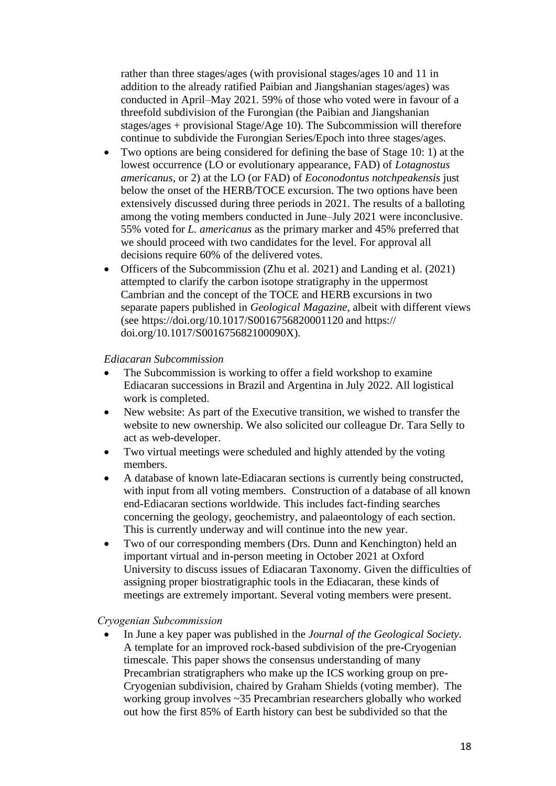rather than three stages/ages (with provisional stages/ages 10 and 11 in addition to the already ratified Paibian and Jiangshanian stages/ages) was conducted in April–May 2021. 59% of those who voted were in favour of a threefold subdivision of the Furongian (the Paibian and Jiangshanian stages/ages + provisional Stage/Age 10). The Subcommission will therefore continue to subdivide the Furongian Series/Epoch into three stages/ages.

- Two options are being considered for defining the base of Stage 10: 1) at the lowest occurrence (LO or evolutionary appearance, FAD) of *Lotagnostus americanus*, or 2) at the LO (or FAD) of *Eoconodontus notchpeakensis* just below the onset of the HERB/TOCE excursion. The two options have been extensively discussed during three periods in 2021. The results of a balloting among the voting members conducted in June–July 2021 were inconclusive. 55% voted for *L. americanus* as the primary marker and 45% preferred that we should proceed with two candidates for the level. For approval all decisions require 60% of the delivered votes.
- Officers of the Subcommission (Zhu et al. 2021) and Landing et al. (2021) attempted to clarify the carbon isotope stratigraphy in the uppermost Cambrian and the concept of the TOCE and HERB excursions in two separate papers published in *Geological Magazine*, albeit with different views (see https://doi.org/10.1017/S0016756820001120 and https:// doi.org/10.1017/S001675682100090X).

#### *Ediacaran Subcommission*

- The Subcommission is working to offer a field workshop to examine Ediacaran successions in Brazil and Argentina in July 2022. All logistical work is completed.
- New website: As part of the Executive transition, we wished to transfer the website to new ownership. We also solicited our colleague Dr. Tara Selly to act as web-developer.
- Two virtual meetings were scheduled and highly attended by the voting members.
- A database of known late-Ediacaran sections is currently being constructed, with input from all voting members. Construction of a database of all known end-Ediacaran sections worldwide. This includes fact-finding searches concerning the geology, geochemistry, and palaeontology of each section. This is currently underway and will continue into the new year.
- Two of our corresponding members (Drs. Dunn and Kenchington) held an important virtual and in-person meeting in October 2021 at Oxford University to discuss issues of Ediacaran Taxonomy. Given the difficulties of assigning proper biostratigraphic tools in the Ediacaran, these kinds of meetings are extremely important. Several voting members were present.

### *Cryogenian Subcommission*

• In June a key paper was published in the *Journal of the Geological Society*. A template for an improved rock-based subdivision of the pre-Cryogenian timescale. This paper shows the consensus understanding of many Precambrian stratigraphers who make up the ICS working group on pre-Cryogenian subdivision, chaired by Graham Shields (voting member). The working group involves ~35 Precambrian researchers globally who worked out how the first 85% of Earth history can best be subdivided so that the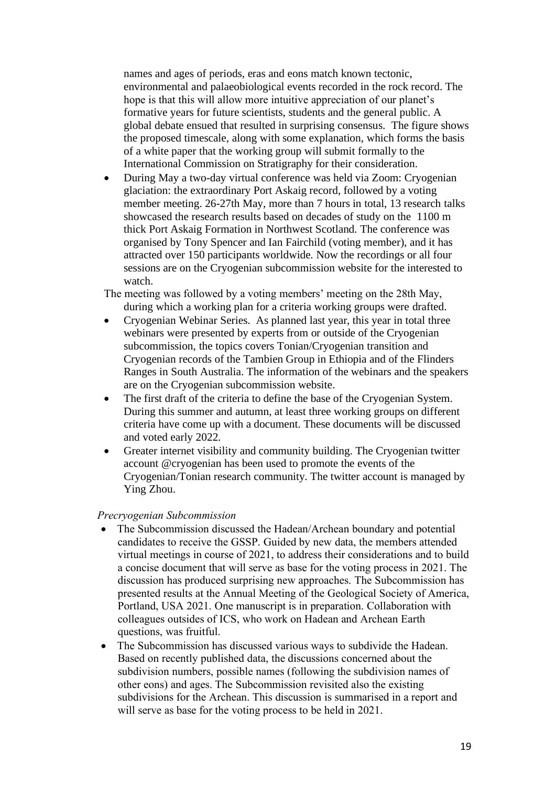names and ages of periods, eras and eons match known tectonic, environmental and palaeobiological events recorded in the rock record. The hope is that this will allow more intuitive appreciation of our planet's formative years for future scientists, students and the general public. A global debate ensued that resulted in surprising consensus. The figure shows the proposed timescale, along with some explanation, which forms the basis of a white paper that the working group will submit formally to the International Commission on Stratigraphy for their consideration.

- During May a two-day virtual conference was held via Zoom: Cryogenian glaciation: the extraordinary Port Askaig record, followed by a voting member meeting. 26-27th May, more than 7 hours in total, 13 research talks showcased the research results based on decades of study on the 1100 m thick Port Askaig Formation in Northwest Scotland. The conference was organised by Tony Spencer and Ian Fairchild (voting member), and it has attracted over 150 participants worldwide. Now the recordings or all four sessions are on the Cryogenian subcommission website for the interested to watch.
- The meeting was followed by a voting members' meeting on the 28th May, during which a working plan for a criteria working groups were drafted.
- Cryogenian Webinar Series. As planned last year, this year in total three webinars were presented by experts from or outside of the Cryogenian subcommission, the topics covers Tonian/Cryogenian transition and Cryogenian records of the Tambien Group in Ethiopia and of the Flinders Ranges in South Australia. The information of the webinars and the speakers are on the Cryogenian subcommission website.
- The first draft of the criteria to define the base of the Cryogenian System. During this summer and autumn, at least three working groups on different criteria have come up with a document. These documents will be discussed and voted early 2022.
- Greater internet visibility and community building. The Cryogenian twitter account @cryogenian has been used to promote the events of the Cryogenian/Tonian research community. The twitter account is managed by Ying Zhou.

#### *Precryogenian Subcommission*

- The Subcommission discussed the Hadean/Archean boundary and potential candidates to receive the GSSP. Guided by new data, the members attended virtual meetings in course of 2021, to address their considerations and to build a concise document that will serve as base for the voting process in 2021. The discussion has produced surprising new approaches. The Subcommission has presented results at the Annual Meeting of the Geological Society of America, Portland, USA 2021. One manuscript is in preparation. Collaboration with colleagues outsides of ICS, who work on Hadean and Archean Earth questions, was fruitful.
- The Subcommission has discussed various ways to subdivide the Hadean. Based on recently published data, the discussions concerned about the subdivision numbers, possible names (following the subdivision names of other eons) and ages. The Subcommission revisited also the existing subdivisions for the Archean. This discussion is summarised in a report and will serve as base for the voting process to be held in 2021.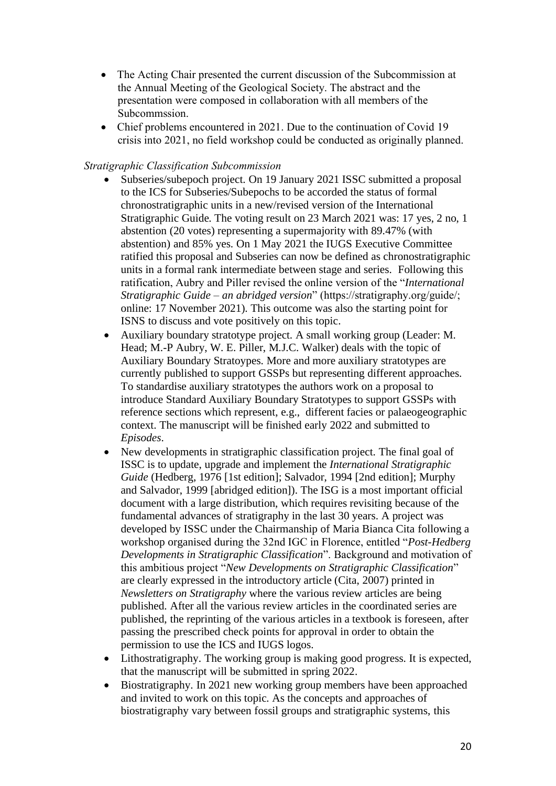- The Acting Chair presented the current discussion of the Subcommission at the Annual Meeting of the Geological Society. The abstract and the presentation were composed in collaboration with all members of the Subcommssion.
- Chief problems encountered in 2021. Due to the continuation of Covid 19 crisis into 2021, no field workshop could be conducted as originally planned.

### *Stratigraphic Classification Subcommission*

- Subseries/subepoch project. On 19 January 2021 ISSC submitted a proposal to the ICS for Subseries/Subepochs to be accorded the status of formal chronostratigraphic units in a new/revised version of the International Stratigraphic Guide. The voting result on 23 March 2021 was: 17 yes, 2 no, 1 abstention (20 votes) representing a supermajority with 89.47% (with abstention) and 85% yes. On 1 May 2021 the IUGS Executive Committee ratified this proposal and Subseries can now be defined as chronostratigraphic units in a formal rank intermediate between stage and series. Following this ratification, Aubry and Piller revised the online version of the "*International Stratigraphic Guide – an abridged version*" (https://stratigraphy.org/guide/; online: 17 November 2021). This outcome was also the starting point for ISNS to discuss and vote positively on this topic.
- Auxiliary boundary stratotype project. A small working group (Leader: M. Head; M.-P Aubry, W. E. Piller, M.J.C. Walker) deals with the topic of Auxiliary Boundary Stratoypes. More and more auxiliary stratotypes are currently published to support GSSPs but representing different approaches. To standardise auxiliary stratotypes the authors work on a proposal to introduce Standard Auxiliary Boundary Stratotypes to support GSSPs with reference sections which represent, e.g., different facies or palaeogeographic context. The manuscript will be finished early 2022 and submitted to *Episodes*.
- New developments in stratigraphic classification project. The final goal of ISSC is to update, upgrade and implement the *International Stratigraphic Guide* (Hedberg, 1976 [1st edition]; Salvador, 1994 [2nd edition]; Murphy and Salvador, 1999 [abridged edition]). The ISG is a most important official document with a large distribution, which requires revisiting because of the fundamental advances of stratigraphy in the last 30 years. A project was developed by ISSC under the Chairmanship of Maria Bianca Cita following a workshop organised during the 32nd IGC in Florence, entitled "*Post-Hedberg Developments in Stratigraphic Classification*". Background and motivation of this ambitious project "*New Developments on Stratigraphic Classification*" are clearly expressed in the introductory article (Cita, 2007) printed in *Newsletters on Stratigraphy* where the various review articles are being published. After all the various review articles in the coordinated series are published, the reprinting of the various articles in a textbook is foreseen, after passing the prescribed check points for approval in order to obtain the permission to use the ICS and IUGS logos.
- Lithostratigraphy. The working group is making good progress. It is expected, that the manuscript will be submitted in spring 2022.
- Biostratigraphy. In 2021 new working group members have been approached and invited to work on this topic. As the concepts and approaches of biostratigraphy vary between fossil groups and stratigraphic systems, this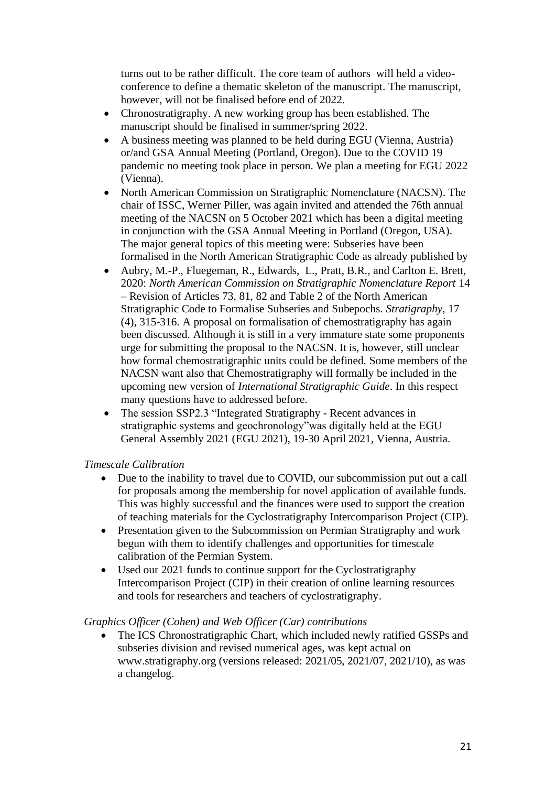turns out to be rather difficult. The core team of authors will held a videoconference to define a thematic skeleton of the manuscript. The manuscript, however, will not be finalised before end of 2022.

- Chronostratigraphy. A new working group has been established. The manuscript should be finalised in summer/spring 2022.
- A business meeting was planned to be held during EGU (Vienna, Austria) or/and GSA Annual Meeting (Portland, Oregon). Due to the COVID 19 pandemic no meeting took place in person. We plan a meeting for EGU 2022 (Vienna).
- North American Commission on Stratigraphic Nomenclature (NACSN). The chair of ISSC, Werner Piller, was again invited and attended the 76th annual meeting of the NACSN on 5 October 2021 which has been a digital meeting in conjunction with the GSA Annual Meeting in Portland (Oregon, USA). The major general topics of this meeting were: Subseries have been formalised in the North American Stratigraphic Code as already published by
- Aubry, M.-P., Fluegeman, R., Edwards, L., Pratt, B.R., and Carlton E. Brett, 2020: *North American Commission on Stratigraphic Nomenclature Report* 14 – Revision of Articles 73, 81, 82 and Table 2 of the North American Stratigraphic Code to Formalise Subseries and Subepochs. *Stratigraphy*, 17 (4), 315-316. A proposal on formalisation of chemostratigraphy has again been discussed. Although it is still in a very immature state some proponents urge for submitting the proposal to the NACSN. It is, however, still unclear how formal chemostratigraphic units could be defined. Some members of the NACSN want also that Chemostratigraphy will formally be included in the upcoming new version of *International Stratigraphic Guide*. In this respect many questions have to addressed before.
- The session SSP2.3 "Integrated Stratigraphy Recent advances in stratigraphic systems and geochronology"was digitally held at the EGU General Assembly 2021 (EGU 2021), 19-30 April 2021, Vienna, Austria.

### *Timescale Calibration*

- Due to the inability to travel due to COVID, our subcommission put out a call for proposals among the membership for novel application of available funds. This was highly successful and the finances were used to support the creation of teaching materials for the Cyclostratigraphy Intercomparison Project (CIP).
- Presentation given to the Subcommission on Permian Stratigraphy and work begun with them to identify challenges and opportunities for timescale calibration of the Permian System.
- Used our 2021 funds to continue support for the Cyclostratigraphy Intercomparison Project (CIP) in their creation of online learning resources and tools for researchers and teachers of cyclostratigraphy.

### *Graphics Officer (Cohen) and Web Officer (Car) contributions*

• The ICS Chronostratigraphic Chart, which included newly ratified GSSPs and subseries division and revised numerical ages, was kept actual on www.stratigraphy.org (versions released: 2021/05, 2021/07, 2021/10), as was a changelog.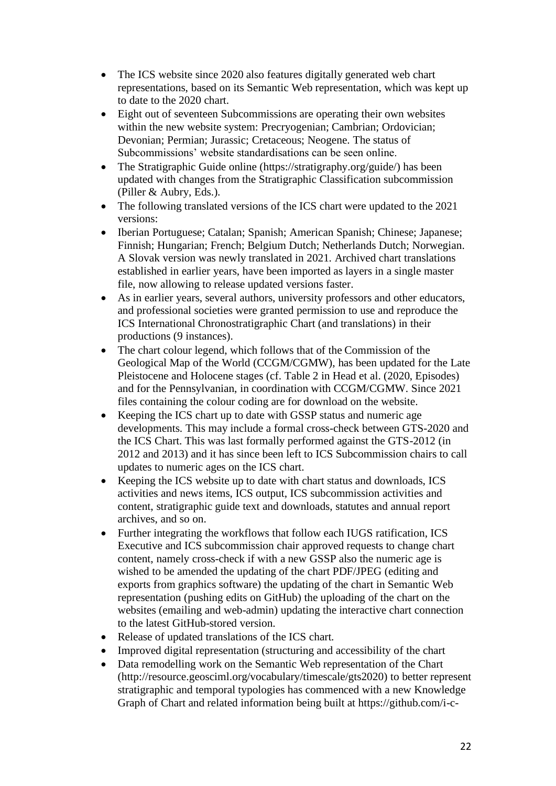- The ICS website since 2020 also features digitally generated web chart representations, based on its Semantic Web representation, which was kept up to date to the 2020 chart.
- Eight out of seventeen Subcommissions are operating their own websites within the new website system: Precryogenian; Cambrian; Ordovician; Devonian; Permian; Jurassic; Cretaceous; Neogene. The status of Subcommissions' website standardisations can be seen online.
- The Stratigraphic Guide online (https://stratigraphy.org/guide/) has been updated with changes from the Stratigraphic Classification subcommission (Piller & Aubry, Eds.).
- The following translated versions of the ICS chart were updated to the 2021 versions:
- Iberian Portuguese; Catalan; Spanish; American Spanish; Chinese; Japanese; Finnish; Hungarian; French; Belgium Dutch; Netherlands Dutch; Norwegian. A Slovak version was newly translated in 2021. Archived chart translations established in earlier years, have been imported as layers in a single master file, now allowing to release updated versions faster.
- As in earlier years, several authors, university professors and other educators, and professional societies were granted permission to use and reproduce the ICS International Chronostratigraphic Chart (and translations) in their productions (9 instances).
- The chart colour legend, which follows that of the Commission of the Geological Map of the World (CCGM/CGMW), has been updated for the Late Pleistocene and Holocene stages (cf. Table 2 in Head et al. (2020, Episodes) and for the Pennsylvanian, in coordination with CCGM/CGMW. Since 2021 files containing the colour coding are for download on the website.
- Keeping the ICS chart up to date with GSSP status and numeric age developments. This may include a formal cross-check between GTS-2020 and the ICS Chart. This was last formally performed against the GTS-2012 (in 2012 and 2013) and it has since been left to ICS Subcommission chairs to call updates to numeric ages on the ICS chart.
- Keeping the ICS website up to date with chart status and downloads, ICS activities and news items, ICS output, ICS subcommission activities and content, stratigraphic guide text and downloads, statutes and annual report archives, and so on.
- Further integrating the workflows that follow each IUGS ratification, ICS Executive and ICS subcommission chair approved requests to change chart content, namely cross-check if with a new GSSP also the numeric age is wished to be amended the updating of the chart PDF/JPEG (editing and exports from graphics software) the updating of the chart in Semantic Web representation (pushing edits on GitHub) the uploading of the chart on the websites (emailing and web-admin) updating the interactive chart connection to the latest GitHub-stored version.
- Release of updated translations of the ICS chart.
- Improved digital representation (structuring and accessibility of the chart
- Data remodelling work on the Semantic Web representation of the Chart (http://resource.geosciml.org/vocabulary/timescale/gts2020) to better represent stratigraphic and temporal typologies has commenced with a new Knowledge Graph of Chart and related information being built at https://github.com/i-c-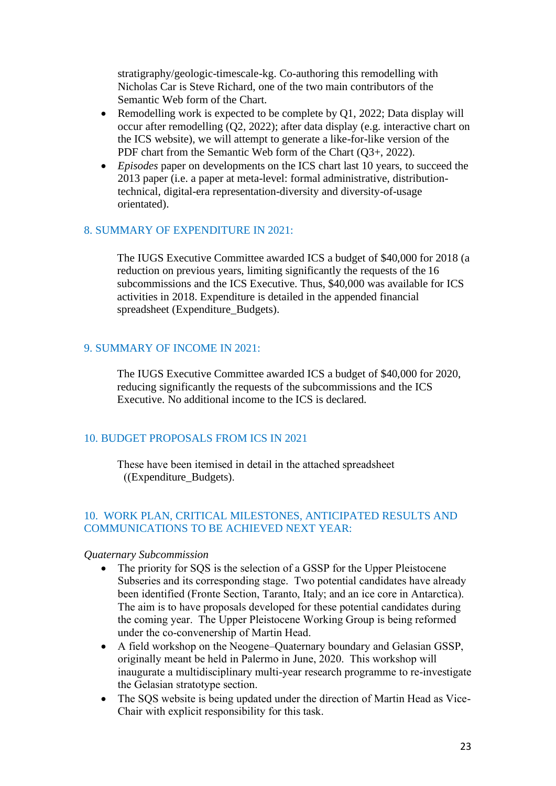stratigraphy/geologic-timescale-kg. Co-authoring this remodelling with Nicholas Car is Steve Richard, one of the two main contributors of the Semantic Web form of the Chart.

- Remodelling work is expected to be complete by Q1, 2022; Data display will occur after remodelling (Q2, 2022); after data display (e.g. interactive chart on the ICS website), we will attempt to generate a like-for-like version of the PDF chart from the Semantic Web form of the Chart (Q3+, 2022).
- *Episodes* paper on developments on the ICS chart last 10 years, to succeed the 2013 paper (i.e. a paper at meta-level: formal administrative, distributiontechnical, digital-era representation-diversity and diversity-of-usage orientated).

### 8. SUMMARY OF EXPENDITURE IN 2021:

The IUGS Executive Committee awarded ICS a budget of \$40,000 for 2018 (a reduction on previous years, limiting significantly the requests of the 16 subcommissions and the ICS Executive. Thus, \$40,000 was available for ICS activities in 2018. Expenditure is detailed in the appended financial spreadsheet (Expenditure\_Budgets).

#### 9. SUMMARY OF INCOME IN 2021:

The IUGS Executive Committee awarded ICS a budget of \$40,000 for 2020, reducing significantly the requests of the subcommissions and the ICS Executive. No additional income to the ICS is declared.

#### 10. BUDGET PROPOSALS FROM ICS IN 2021

These have been itemised in detail in the attached spreadsheet ((Expenditure\_Budgets).

### 10. WORK PLAN, CRITICAL MILESTONES, ANTICIPATED RESULTS AND COMMUNICATIONS TO BE ACHIEVED NEXT YEAR:

#### *Quaternary Subcommission*

- The priority for SOS is the selection of a GSSP for the Upper Pleistocene Subseries and its corresponding stage. Two potential candidates have already been identified (Fronte Section, Taranto, Italy; and an ice core in Antarctica). The aim is to have proposals developed for these potential candidates during the coming year. The Upper Pleistocene Working Group is being reformed under the co-convenership of Martin Head.
- A field workshop on the Neogene–Quaternary boundary and Gelasian GSSP, originally meant be held in Palermo in June, 2020. This workshop will inaugurate a multidisciplinary multi-year research programme to re-investigate the Gelasian stratotype section.
- The SQS website is being updated under the direction of Martin Head as Vice-Chair with explicit responsibility for this task.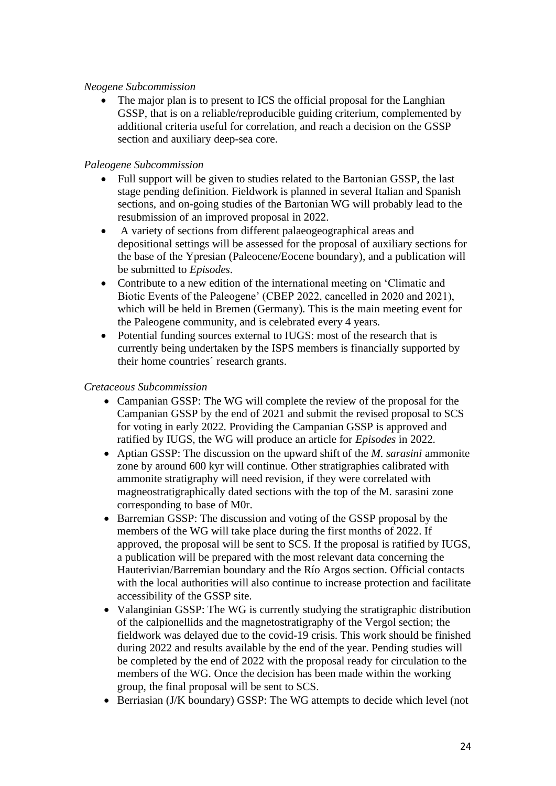### *Neogene Subcommission*

• The major plan is to present to ICS the official proposal for the Langhian GSSP, that is on a reliable/reproducible guiding criterium, complemented by additional criteria useful for correlation, and reach a decision on the GSSP section and auxiliary deep-sea core.

### *Paleogene Subcommission*

- Full support will be given to studies related to the Bartonian GSSP, the last stage pending definition. Fieldwork is planned in several Italian and Spanish sections, and on-going studies of the Bartonian WG will probably lead to the resubmission of an improved proposal in 2022.
- A variety of sections from different palaeogeographical areas and depositional settings will be assessed for the proposal of auxiliary sections for the base of the Ypresian (Paleocene/Eocene boundary), and a publication will be submitted to *Episodes*.
- Contribute to a new edition of the international meeting on 'Climatic and Biotic Events of the Paleogene' (CBEP 2022, cancelled in 2020 and 2021), which will be held in Bremen (Germany). This is the main meeting event for the Paleogene community, and is celebrated every 4 years.
- Potential funding sources external to IUGS: most of the research that is currently being undertaken by the ISPS members is financially supported by their home countries´ research grants.

### *Cretaceous Subcommission*

- Campanian GSSP: The WG will complete the review of the proposal for the Campanian GSSP by the end of 2021 and submit the revised proposal to SCS for voting in early 2022. Providing the Campanian GSSP is approved and ratified by IUGS, the WG will produce an article for *Episodes* in 2022.
- Aptian GSSP: The discussion on the upward shift of the *M. sarasini* ammonite zone by around 600 kyr will continue. Other stratigraphies calibrated with ammonite stratigraphy will need revision, if they were correlated with magneostratigraphically dated sections with the top of the M. sarasini zone corresponding to base of M0r.
- Barremian GSSP: The discussion and voting of the GSSP proposal by the members of the WG will take place during the first months of 2022. If approved, the proposal will be sent to SCS. If the proposal is ratified by IUGS, a publication will be prepared with the most relevant data concerning the Hauterivian/Barremian boundary and the Río Argos section. Official contacts with the local authorities will also continue to increase protection and facilitate accessibility of the GSSP site.
- Valanginian GSSP: The WG is currently studying the stratigraphic distribution of the calpionellids and the magnetostratigraphy of the Vergol section; the fieldwork was delayed due to the covid-19 crisis. This work should be finished during 2022 and results available by the end of the year. Pending studies will be completed by the end of 2022 with the proposal ready for circulation to the members of the WG. Once the decision has been made within the working group, the final proposal will be sent to SCS.
- Berriasian (J/K boundary) GSSP: The WG attempts to decide which level (not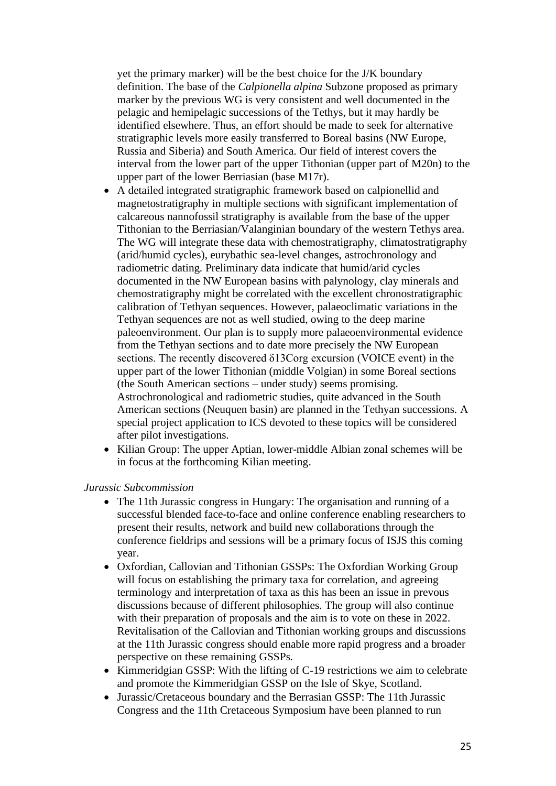yet the primary marker) will be the best choice for the J/K boundary definition. The base of the *Calpionella alpina* Subzone proposed as primary marker by the previous WG is very consistent and well documented in the pelagic and hemipelagic successions of the Tethys, but it may hardly be identified elsewhere. Thus, an effort should be made to seek for alternative stratigraphic levels more easily transferred to Boreal basins (NW Europe, Russia and Siberia) and South America. Our field of interest covers the interval from the lower part of the upper Tithonian (upper part of M20n) to the upper part of the lower Berriasian (base M17r).

- A detailed integrated stratigraphic framework based on calpionellid and magnetostratigraphy in multiple sections with significant implementation of calcareous nannofossil stratigraphy is available from the base of the upper Tithonian to the Berriasian/Valanginian boundary of the western Tethys area. The WG will integrate these data with chemostratigraphy, climatostratigraphy (arid/humid cycles), eurybathic sea-level changes, astrochronology and radiometric dating. Preliminary data indicate that humid/arid cycles documented in the NW European basins with palynology, clay minerals and chemostratigraphy might be correlated with the excellent chronostratigraphic calibration of Tethyan sequences. However, palaeoclimatic variations in the Tethyan sequences are not as well studied, owing to the deep marine paleoenvironment. Our plan is to supply more palaeoenvironmental evidence from the Tethyan sections and to date more precisely the NW European sections. The recently discovered δ13Corg excursion (VOICE event) in the upper part of the lower Tithonian (middle Volgian) in some Boreal sections (the South American sections – under study) seems promising. Astrochronological and radiometric studies, quite advanced in the South American sections (Neuquen basin) are planned in the Tethyan successions. A special project application to ICS devoted to these topics will be considered after pilot investigations.
- Kilian Group: The upper Aptian, lower-middle Albian zonal schemes will be in focus at the forthcoming Kilian meeting.

#### *Jurassic Subcommission*

- The 11th Jurassic congress in Hungary: The organisation and running of a successful blended face-to-face and online conference enabling researchers to present their results, network and build new collaborations through the conference fieldrips and sessions will be a primary focus of ISJS this coming year.
- Oxfordian, Callovian and Tithonian GSSPs: The Oxfordian Working Group will focus on establishing the primary taxa for correlation, and agreeing terminology and interpretation of taxa as this has been an issue in prevous discussions because of different philosophies. The group will also continue with their preparation of proposals and the aim is to vote on these in 2022. Revitalisation of the Callovian and Tithonian working groups and discussions at the 11th Jurassic congress should enable more rapid progress and a broader perspective on these remaining GSSPs.
- Kimmeridgian GSSP: With the lifting of C-19 restrictions we aim to celebrate and promote the Kimmeridgian GSSP on the Isle of Skye, Scotland.
- Jurassic/Cretaceous boundary and the Berrasian GSSP: The 11th Jurassic Congress and the 11th Cretaceous Symposium have been planned to run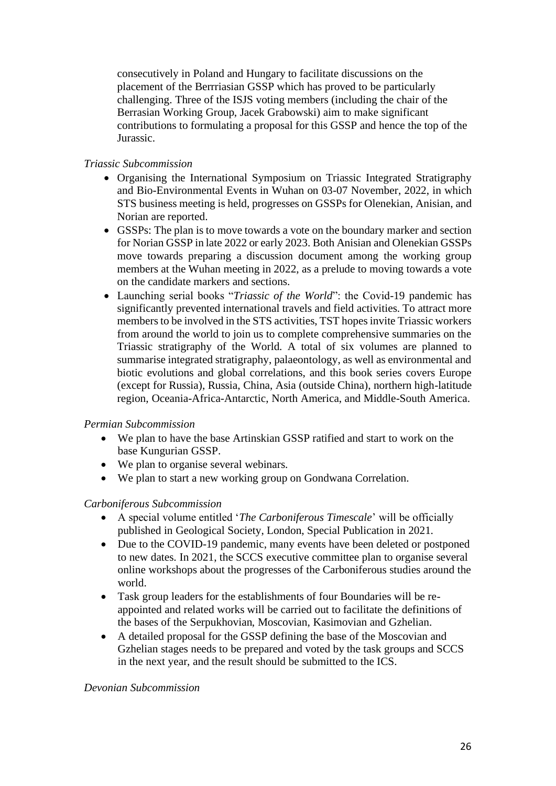consecutively in Poland and Hungary to facilitate discussions on the placement of the Berrriasian GSSP which has proved to be particularly challenging. Three of the ISJS voting members (including the chair of the Berrasian Working Group, Jacek Grabowski) aim to make significant contributions to formulating a proposal for this GSSP and hence the top of the Jurassic.

### *Triassic Subcommission*

- Organising the International Symposium on Triassic Integrated Stratigraphy and Bio-Environmental Events in Wuhan on 03-07 November, 2022, in which STS business meeting is held, progresses on GSSPs for Olenekian, Anisian, and Norian are reported.
- GSSPs: The plan is to move towards a vote on the boundary marker and section for Norian GSSP in late 2022 or early 2023. Both Anisian and Olenekian GSSPs move towards preparing a discussion document among the working group members at the Wuhan meeting in 2022, as a prelude to moving towards a vote on the candidate markers and sections.
- Launching serial books "*Triassic of the World*": the Covid-19 pandemic has significantly prevented international travels and field activities. To attract more members to be involved in the STS activities, TST hopes invite Triassic workers from around the world to join us to complete comprehensive summaries on the Triassic stratigraphy of the World. A total of six volumes are planned to summarise integrated stratigraphy, palaeontology, as well as environmental and biotic evolutions and global correlations, and this book series covers Europe (except for Russia), Russia, China, Asia (outside China), northern high-latitude region, Oceania-Africa-Antarctic, North America, and Middle-South America.

### *Permian Subcommission*

- We plan to have the base Artinskian GSSP ratified and start to work on the base Kungurian GSSP.
- We plan to organise several webinars.
- We plan to start a new working group on Gondwana Correlation.

### *Carboniferous Subcommission*

- A special volume entitled '*The Carboniferous Timescale*' will be officially published in Geological Society, London, Special Publication in 2021.
- Due to the COVID-19 pandemic, many events have been deleted or postponed to new dates. In 2021, the SCCS executive committee plan to organise several online workshops about the progresses of the Carboniferous studies around the world.
- Task group leaders for the establishments of four Boundaries will be reappointed and related works will be carried out to facilitate the definitions of the bases of the Serpukhovian, Moscovian, Kasimovian and Gzhelian.
- A detailed proposal for the GSSP defining the base of the Moscovian and Gzhelian stages needs to be prepared and voted by the task groups and SCCS in the next year, and the result should be submitted to the ICS.

### *Devonian Subcommission*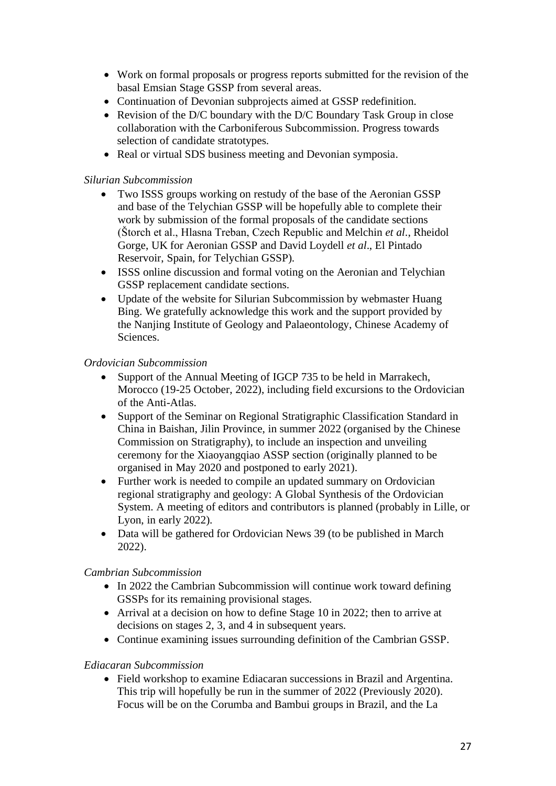- Work on formal proposals or progress reports submitted for the revision of the basal Emsian Stage GSSP from several areas.
- Continuation of Devonian subprojects aimed at GSSP redefinition.
- Revision of the D/C boundary with the D/C Boundary Task Group in close collaboration with the Carboniferous Subcommission. Progress towards selection of candidate stratotypes.
- Real or virtual SDS business meeting and Devonian symposia.

### *Silurian Subcommission*

- Two ISSS groups working on restudy of the base of the Aeronian GSSP and base of the Telychian GSSP will be hopefully able to complete their work by submission of the formal proposals of the candidate sections (Štorch et al., Hlasna Treban, Czech Republic and Melchin *et al*., Rheidol Gorge, UK for Aeronian GSSP and David Loydell *et al*., El Pintado Reservoir, Spain, for Telychian GSSP).
- ISSS online discussion and formal voting on the Aeronian and Telychian GSSP replacement candidate sections.
- Update of the website for Silurian Subcommission by webmaster Huang Bing. We gratefully acknowledge this work and the support provided by the Nanjing Institute of Geology and Palaeontology, Chinese Academy of Sciences.

### *Ordovician Subcommission*

- Support of the Annual Meeting of IGCP 735 to be held in Marrakech, Morocco (19-25 October, 2022), including field excursions to the Ordovician of the Anti-Atlas.
- Support of the Seminar on Regional Stratigraphic Classification Standard in China in Baishan, Jilin Province, in summer 2022 (organised by the Chinese Commission on Stratigraphy), to include an inspection and unveiling ceremony for the Xiaoyangqiao ASSP section (originally planned to be organised in May 2020 and postponed to early 2021).
- Further work is needed to compile an updated summary on Ordovician regional stratigraphy and geology: A Global Synthesis of the Ordovician System. A meeting of editors and contributors is planned (probably in Lille, or Lyon, in early 2022).
- Data will be gathered for Ordovician News 39 (to be published in March 2022).

### *Cambrian Subcommission*

- In 2022 the Cambrian Subcommission will continue work toward defining GSSPs for its remaining provisional stages.
- Arrival at a decision on how to define Stage 10 in 2022; then to arrive at decisions on stages 2, 3, and 4 in subsequent years.
- Continue examining issues surrounding definition of the Cambrian GSSP.

### *Ediacaran Subcommission*

• Field workshop to examine Ediacaran successions in Brazil and Argentina. This trip will hopefully be run in the summer of 2022 (Previously 2020). Focus will be on the Corumba and Bambui groups in Brazil, and the La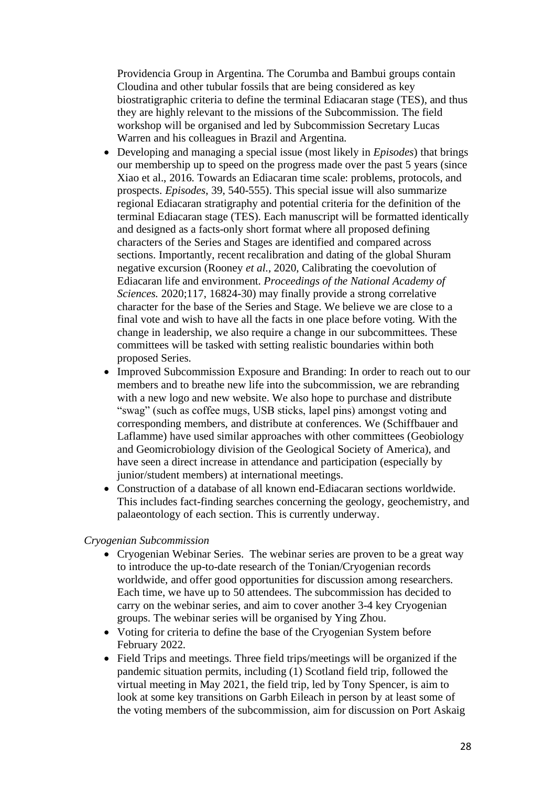Providencia Group in Argentina. The Corumba and Bambui groups contain Cloudina and other tubular fossils that are being considered as key biostratigraphic criteria to define the terminal Ediacaran stage (TES), and thus they are highly relevant to the missions of the Subcommission. The field workshop will be organised and led by Subcommission Secretary Lucas Warren and his colleagues in Brazil and Argentina.

- Developing and managing a special issue (most likely in *Episodes*) that brings our membership up to speed on the progress made over the past 5 years (since Xiao et al., 2016. Towards an Ediacaran time scale: problems, protocols, and prospects. *Episodes*, 39, 540-555). This special issue will also summarize regional Ediacaran stratigraphy and potential criteria for the definition of the terminal Ediacaran stage (TES). Each manuscript will be formatted identically and designed as a facts-only short format where all proposed defining characters of the Series and Stages are identified and compared across sections. Importantly, recent recalibration and dating of the global Shuram negative excursion (Rooney *et al*., 2020, Calibrating the coevolution of Ediacaran life and environment. *Proceedings of the National Academy of Sciences.* 2020;117, 16824-30) may finally provide a strong correlative character for the base of the Series and Stage. We believe we are close to a final vote and wish to have all the facts in one place before voting. With the change in leadership, we also require a change in our subcommittees. These committees will be tasked with setting realistic boundaries within both proposed Series.
- Improved Subcommission Exposure and Branding: In order to reach out to our members and to breathe new life into the subcommission, we are rebranding with a new logo and new website. We also hope to purchase and distribute "swag" (such as coffee mugs, USB sticks, lapel pins) amongst voting and corresponding members, and distribute at conferences. We (Schiffbauer and Laflamme) have used similar approaches with other committees (Geobiology and Geomicrobiology division of the Geological Society of America), and have seen a direct increase in attendance and participation (especially by junior/student members) at international meetings.
- Construction of a database of all known end-Ediacaran sections worldwide. This includes fact-finding searches concerning the geology, geochemistry, and palaeontology of each section. This is currently underway.

#### *Cryogenian Subcommission*

- Cryogenian Webinar Series. The webinar series are proven to be a great way to introduce the up-to-date research of the Tonian/Cryogenian records worldwide, and offer good opportunities for discussion among researchers. Each time, we have up to 50 attendees. The subcommission has decided to carry on the webinar series, and aim to cover another 3-4 key Cryogenian groups. The webinar series will be organised by Ying Zhou.
- Voting for criteria to define the base of the Cryogenian System before February 2022.
- Field Trips and meetings. Three field trips/meetings will be organized if the pandemic situation permits, including (1) Scotland field trip, followed the virtual meeting in May 2021, the field trip, led by Tony Spencer, is aim to look at some key transitions on Garbh Eileach in person by at least some of the voting members of the subcommission, aim for discussion on Port Askaig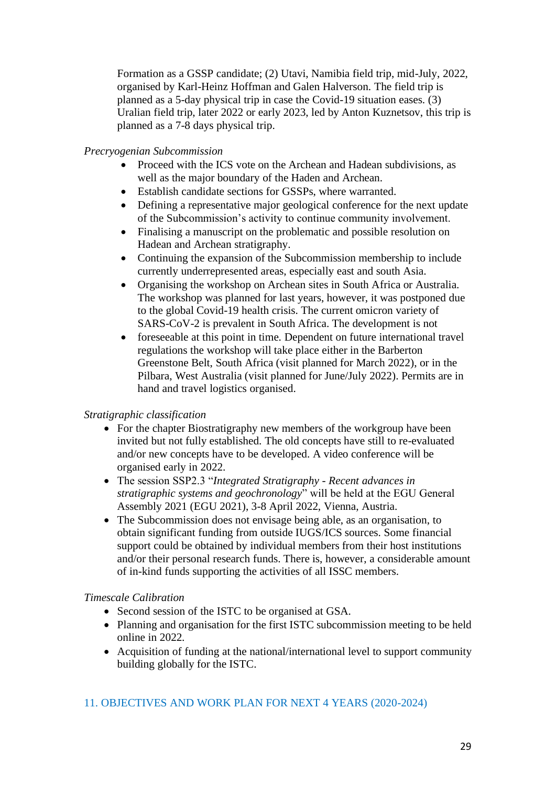Formation as a GSSP candidate; (2) Utavi, Namibia field trip, mid-July, 2022, organised by Karl-Heinz Hoffman and Galen Halverson. The field trip is planned as a 5-day physical trip in case the Covid-19 situation eases. (3) Uralian field trip, later 2022 or early 2023, led by Anton Kuznetsov, this trip is planned as a 7-8 days physical trip.

### *Precryogenian Subcommission*

- Proceed with the ICS vote on the Archean and Hadean subdivisions, as well as the major boundary of the Haden and Archean.
- Establish candidate sections for GSSPs, where warranted.
- Defining a representative major geological conference for the next update of the Subcommission's activity to continue community involvement.
- Finalising a manuscript on the problematic and possible resolution on Hadean and Archean stratigraphy.
- Continuing the expansion of the Subcommission membership to include currently underrepresented areas, especially east and south Asia.
- Organising the workshop on Archean sites in South Africa or Australia. The workshop was planned for last years, however, it was postponed due to the global Covid-19 health crisis. The current omicron variety of SARS-CoV-2 is prevalent in South Africa. The development is not
- foreseeable at this point in time. Dependent on future international travel regulations the workshop will take place either in the Barberton Greenstone Belt, South Africa (visit planned for March 2022), or in the Pilbara, West Australia (visit planned for June/July 2022). Permits are in hand and travel logistics organised.

### *Stratigraphic classification*

- For the chapter Biostratigraphy new members of the workgroup have been invited but not fully established. The old concepts have still to re-evaluated and/or new concepts have to be developed. A video conference will be organised early in 2022.
- The session SSP2.3 "*Integrated Stratigraphy - Recent advances in stratigraphic systems and geochronology*" will be held at the EGU General Assembly 2021 (EGU 2021), 3-8 April 2022, Vienna, Austria.
- The Subcommission does not envisage being able, as an organisation, to obtain significant funding from outside IUGS/ICS sources. Some financial support could be obtained by individual members from their host institutions and/or their personal research funds. There is, however, a considerable amount of in-kind funds supporting the activities of all ISSC members.

#### *Timescale Calibration*

- Second session of the ISTC to be organised at GSA.
- Planning and organisation for the first ISTC subcommission meeting to be held online in 2022.
- Acquisition of funding at the national/international level to support community building globally for the ISTC.

### 11. OBJECTIVES AND WORK PLAN FOR NEXT 4 YEARS (2020-2024)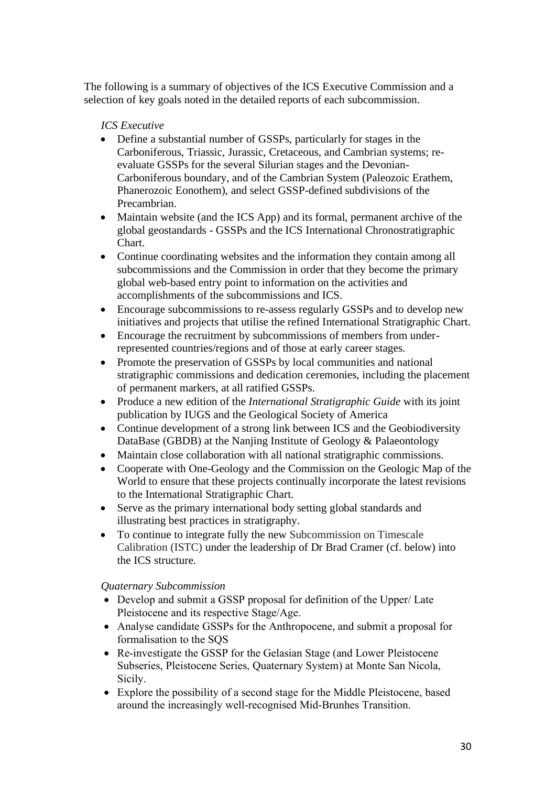The following is a summary of objectives of the ICS Executive Commission and a selection of key goals noted in the detailed reports of each subcommission.

### *ICS Executive*

- Define a substantial number of GSSPs, particularly for stages in the Carboniferous, Triassic, Jurassic, Cretaceous, and Cambrian systems; reevaluate GSSPs for the several Silurian stages and the Devonian-Carboniferous boundary, and of the Cambrian System (Paleozoic Erathem, Phanerozoic Eonothem), and select GSSP-defined subdivisions of the Precambrian.
- Maintain website (and the ICS App) and its formal, permanent archive of the global geostandards - GSSPs and the ICS International Chronostratigraphic Chart.
- Continue coordinating websites and the information they contain among all subcommissions and the Commission in order that they become the primary global web-based entry point to information on the activities and accomplishments of the subcommissions and ICS.
- Encourage subcommissions to re-assess regularly GSSPs and to develop new initiatives and projects that utilise the refined International Stratigraphic Chart.
- Encourage the recruitment by subcommissions of members from underrepresented countries/regions and of those at early career stages.
- Promote the preservation of GSSPs by local communities and national stratigraphic commissions and dedication ceremonies, including the placement of permanent markers, at all ratified GSSPs.
- Produce a new edition of the *International Stratigraphic Guide* with its joint publication by IUGS and the Geological Society of America
- Continue development of a strong link between ICS and the Geobiodiversity DataBase (GBDB) at the Nanjing Institute of Geology & Palaeontology
- Maintain close collaboration with all national stratigraphic commissions.
- Cooperate with One-Geology and the Commission on the Geologic Map of the World to ensure that these projects continually incorporate the latest revisions to the International Stratigraphic Chart.
- Serve as the primary international body setting global standards and illustrating best practices in stratigraphy.
- To continue to integrate fully the new Subcommission on Timescale Calibration (ISTC) under the leadership of Dr Brad Cramer (cf. below) into the ICS structure.

### *Quaternary Subcommission*

- Develop and submit a GSSP proposal for definition of the Upper/ Late Pleistocene and its respective Stage/Age.
- Analyse candidate GSSPs for the Anthropocene, and submit a proposal for formalisation to the SQS
- Re-investigate the GSSP for the Gelasian Stage (and Lower Pleistocene) Subseries, Pleistocene Series, Quaternary System) at Monte San Nicola, Sicily.
- Explore the possibility of a second stage for the Middle Pleistocene, based around the increasingly well-recognised Mid-Brunhes Transition.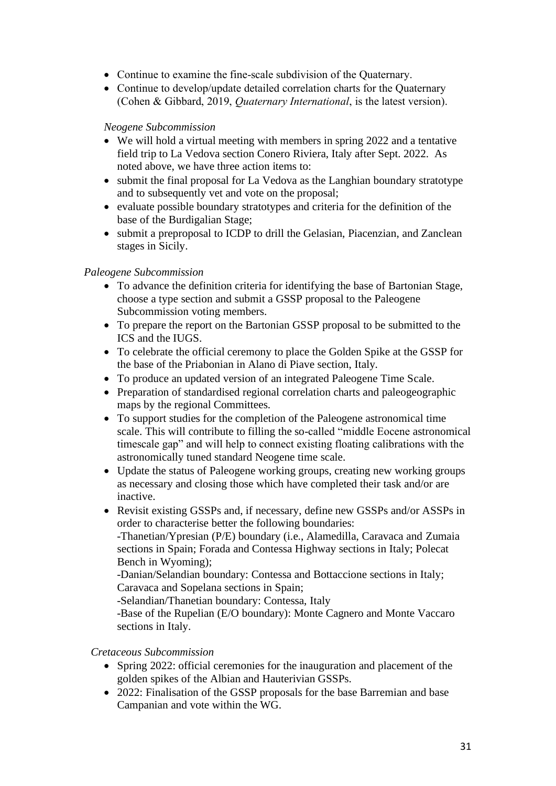- Continue to examine the fine-scale subdivision of the Quaternary.
- Continue to develop/update detailed correlation charts for the Quaternary (Cohen & Gibbard, 2019, *Quaternary International*, is the latest version).

### *Neogene Subcommission*

- We will hold a virtual meeting with members in spring 2022 and a tentative field trip to La Vedova section Conero Riviera, Italy after Sept. 2022. As noted above, we have three action items to:
- submit the final proposal for La Vedova as the Langhian boundary stratotype and to subsequently vet and vote on the proposal;
- evaluate possible boundary stratotypes and criteria for the definition of the base of the Burdigalian Stage;
- submit a preproposal to ICDP to drill the Gelasian, Piacenzian, and Zanclean stages in Sicily.

### *Paleogene Subcommission*

- To advance the definition criteria for identifying the base of Bartonian Stage, choose a type section and submit a GSSP proposal to the Paleogene Subcommission voting members.
- To prepare the report on the Bartonian GSSP proposal to be submitted to the ICS and the IUGS.
- To celebrate the official ceremony to place the Golden Spike at the GSSP for the base of the Priabonian in Alano di Piave section, Italy.
- To produce an updated version of an integrated Paleogene Time Scale.
- Preparation of standardised regional correlation charts and paleogeographic maps by the regional Committees.
- To support studies for the completion of the Paleogene astronomical time scale. This will contribute to filling the so-called "middle Eocene astronomical timescale gap" and will help to connect existing floating calibrations with the astronomically tuned standard Neogene time scale.
- Update the status of Paleogene working groups, creating new working groups as necessary and closing those which have completed their task and/or are inactive.
- Revisit existing GSSPs and, if necessary, define new GSSPs and/or ASSPs in order to characterise better the following boundaries:

-Thanetian/Ypresian (P/E) boundary (i.e., Alamedilla, Caravaca and Zumaia sections in Spain; Forada and Contessa Highway sections in Italy; Polecat Bench in Wyoming);

-Danian/Selandian boundary: Contessa and Bottaccione sections in Italy; Caravaca and Sopelana sections in Spain;

-Selandian/Thanetian boundary: Contessa, Italy

-Base of the Rupelian (E/O boundary): Monte Cagnero and Monte Vaccaro sections in Italy.

### *Cretaceous Subcommission*

- Spring 2022: official ceremonies for the inauguration and placement of the golden spikes of the Albian and Hauterivian GSSPs.
- 2022: Finalisation of the GSSP proposals for the base Barremian and base Campanian and vote within the WG.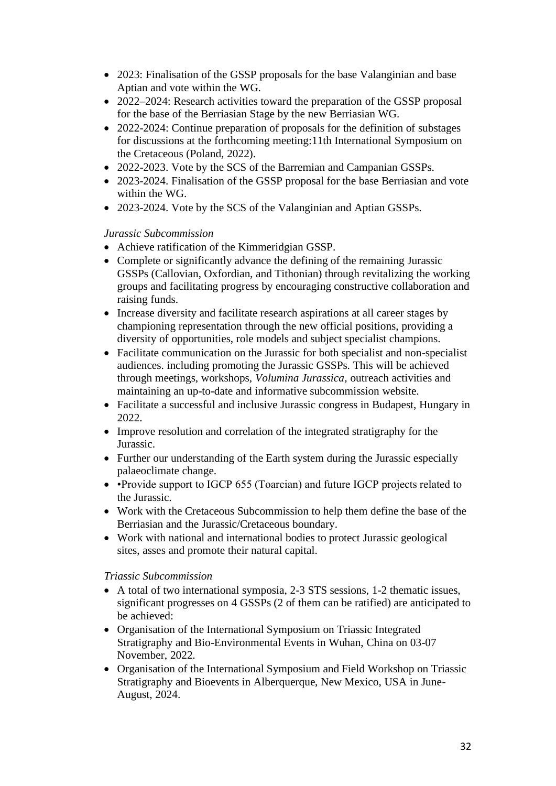- 2023: Finalisation of the GSSP proposals for the base Valanginian and base Aptian and vote within the WG.
- 2022–2024: Research activities toward the preparation of the GSSP proposal for the base of the Berriasian Stage by the new Berriasian WG.
- 2022-2024: Continue preparation of proposals for the definition of substages for discussions at the forthcoming meeting:11th International Symposium on the Cretaceous (Poland, 2022).
- 2022-2023. Vote by the SCS of the Barremian and Campanian GSSPs.
- 2023-2024. Finalisation of the GSSP proposal for the base Berriasian and vote within the WG.
- 2023-2024. Vote by the SCS of the Valanginian and Aptian GSSPs.

### *Jurassic Subcommission*

- Achieve ratification of the Kimmeridgian GSSP.
- Complete or significantly advance the defining of the remaining Jurassic GSSPs (Callovian, Oxfordian, and Tithonian) through revitalizing the working groups and facilitating progress by encouraging constructive collaboration and raising funds.
- Increase diversity and facilitate research aspirations at all career stages by championing representation through the new official positions, providing a diversity of opportunities, role models and subject specialist champions.
- Facilitate communication on the Jurassic for both specialist and non-specialist audiences. including promoting the Jurassic GSSPs. This will be achieved through meetings, workshops, *Volumina Jurassica*, outreach activities and maintaining an up-to-date and informative subcommission website.
- Facilitate a successful and inclusive Jurassic congress in Budapest, Hungary in 2022.
- Improve resolution and correlation of the integrated stratigraphy for the Jurassic.
- Further our understanding of the Earth system during the Jurassic especially palaeoclimate change.
- •Provide support to IGCP 655 (Toarcian) and future IGCP projects related to the Jurassic.
- Work with the Cretaceous Subcommission to help them define the base of the Berriasian and the Jurassic/Cretaceous boundary.
- Work with national and international bodies to protect Jurassic geological sites, asses and promote their natural capital.

### *Triassic Subcommission*

- A total of two international symposia, 2-3 STS sessions, 1-2 thematic issues, significant progresses on 4 GSSPs (2 of them can be ratified) are anticipated to be achieved:
- Organisation of the International Symposium on Triassic Integrated Stratigraphy and Bio-Environmental Events in Wuhan, China on 03-07 November, 2022.
- Organisation of the International Symposium and Field Workshop on Triassic Stratigraphy and Bioevents in Alberquerque, New Mexico, USA in June-August, 2024.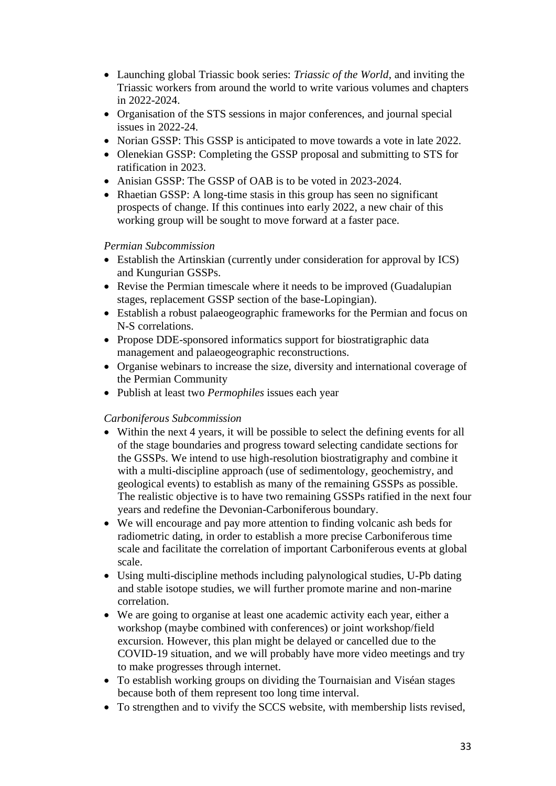- Launching global Triassic book series: *Triassic of the World*, and inviting the Triassic workers from around the world to write various volumes and chapters in 2022-2024.
- Organisation of the STS sessions in major conferences, and journal special issues in 2022-24.
- Norian GSSP: This GSSP is anticipated to move towards a vote in late 2022.
- Olenekian GSSP: Completing the GSSP proposal and submitting to STS for ratification in 2023.
- Anisian GSSP: The GSSP of OAB is to be voted in 2023-2024.
- Rhaetian GSSP: A long-time stasis in this group has seen no significant prospects of change. If this continues into early 2022, a new chair of this working group will be sought to move forward at a faster pace.

### *Permian Subcommission*

- Establish the Artinskian (currently under consideration for approval by ICS) and Kungurian GSSPs.
- Revise the Permian timescale where it needs to be improved (Guadalupian stages, replacement GSSP section of the base-Lopingian).
- Establish a robust palaeogeographic frameworks for the Permian and focus on N-S correlations.
- Propose DDE-sponsored informatics support for biostratigraphic data management and palaeogeographic reconstructions.
- Organise webinars to increase the size, diversity and international coverage of the Permian Community
- Publish at least two *Permophiles* issues each year

### *Carboniferous Subcommission*

- Within the next 4 years, it will be possible to select the defining events for all of the stage boundaries and progress toward selecting candidate sections for the GSSPs. We intend to use high-resolution biostratigraphy and combine it with a multi-discipline approach (use of sedimentology, geochemistry, and geological events) to establish as many of the remaining GSSPs as possible. The realistic objective is to have two remaining GSSPs ratified in the next four years and redefine the Devonian-Carboniferous boundary.
- We will encourage and pay more attention to finding volcanic ash beds for radiometric dating, in order to establish a more precise Carboniferous time scale and facilitate the correlation of important Carboniferous events at global scale.
- Using multi-discipline methods including palynological studies, U-Pb dating and stable isotope studies, we will further promote marine and non-marine correlation.
- We are going to organise at least one academic activity each year, either a workshop (maybe combined with conferences) or joint workshop/field excursion. However, this plan might be delayed or cancelled due to the COVID-19 situation, and we will probably have more video meetings and try to make progresses through internet.
- To establish working groups on dividing the Tournaisian and Viséan stages because both of them represent too long time interval.
- To strengthen and to vivify the SCCS website, with membership lists revised,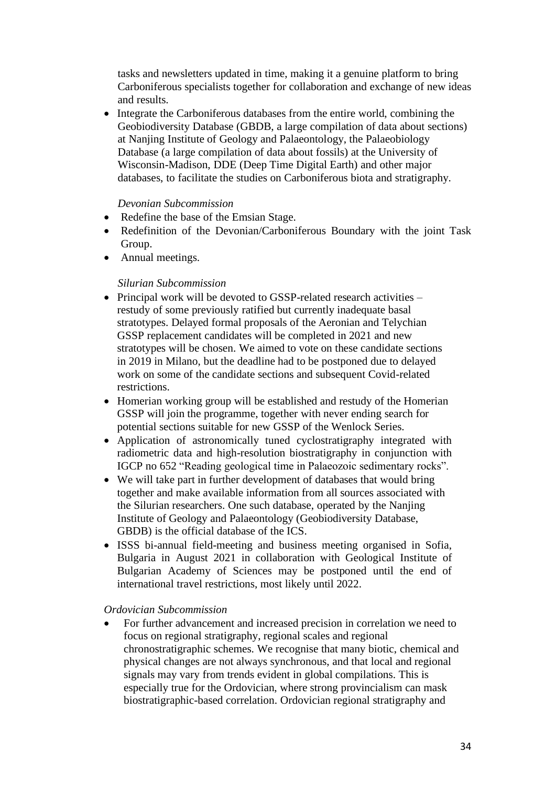tasks and newsletters updated in time, making it a genuine platform to bring Carboniferous specialists together for collaboration and exchange of new ideas and results.

• Integrate the Carboniferous databases from the entire world, combining the Geobiodiversity Database (GBDB, a large compilation of data about sections) at Nanjing Institute of Geology and Palaeontology, the Palaeobiology Database (a large compilation of data about fossils) at the University of Wisconsin-Madison, DDE (Deep Time Digital Earth) and other major databases, to facilitate the studies on Carboniferous biota and stratigraphy.

#### *Devonian Subcommission*

- Redefine the base of the Emsian Stage.
- Redefinition of the Devonian/Carboniferous Boundary with the joint Task Group.
- Annual meetings.

#### *Silurian Subcommission*

- Principal work will be devoted to GSSP-related research activities restudy of some previously ratified but currently inadequate basal stratotypes. Delayed formal proposals of the Aeronian and Telychian GSSP replacement candidates will be completed in 2021 and new stratotypes will be chosen. We aimed to vote on these candidate sections in 2019 in Milano, but the deadline had to be postponed due to delayed work on some of the candidate sections and subsequent Covid-related restrictions.
- Homerian working group will be established and restudy of the Homerian GSSP will join the programme, together with never ending search for potential sections suitable for new GSSP of the Wenlock Series.
- Application of astronomically tuned cyclostratigraphy integrated with radiometric data and high-resolution biostratigraphy in conjunction with IGCP no 652 "Reading geological time in Palaeozoic sedimentary rocks".
- We will take part in further development of databases that would bring together and make available information from all sources associated with the Silurian researchers. One such database, operated by the Nanjing Institute of Geology and Palaeontology (Geobiodiversity Database, GBDB) is the official database of the ICS.
- ISSS bi-annual field-meeting and business meeting organised in Sofia, Bulgaria in August 2021 in collaboration with Geological Institute of Bulgarian Academy of Sciences may be postponed until the end of international travel restrictions, most likely until 2022.

#### *Ordovician Subcommission*

• For further advancement and increased precision in correlation we need to focus on regional stratigraphy, regional scales and regional chronostratigraphic schemes. We recognise that many biotic, chemical and physical changes are not always synchronous, and that local and regional signals may vary from trends evident in global compilations. This is especially true for the Ordovician, where strong provincialism can mask biostratigraphic-based correlation. Ordovician regional stratigraphy and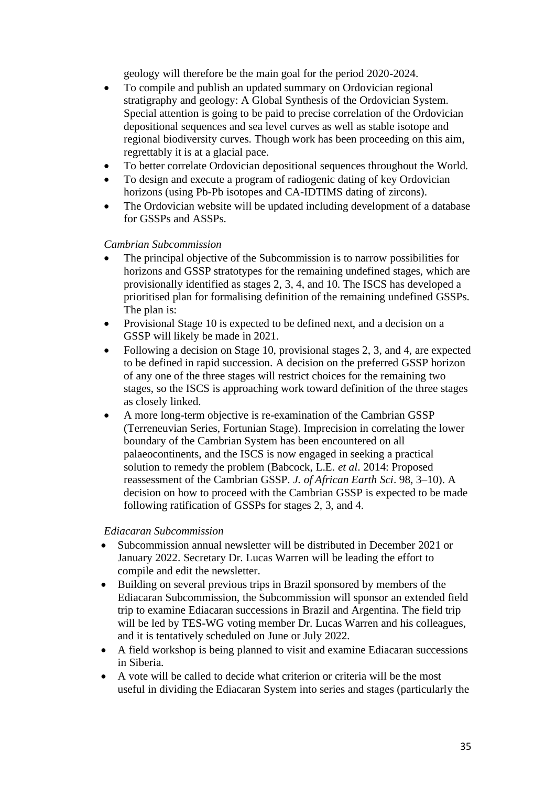geology will therefore be the main goal for the period 2020-2024.

- To compile and publish an updated summary on Ordovician regional stratigraphy and geology: A Global Synthesis of the Ordovician System. Special attention is going to be paid to precise correlation of the Ordovician depositional sequences and sea level curves as well as stable isotope and regional biodiversity curves. Though work has been proceeding on this aim, regrettably it is at a glacial pace.
- To better correlate Ordovician depositional sequences throughout the World.
- To design and execute a program of radiogenic dating of key Ordovician horizons (using Pb-Pb isotopes and CA-IDTIMS dating of zircons).
- The Ordovician website will be updated including development of a database for GSSPs and ASSPs.

### *Cambrian Subcommission*

- The principal objective of the Subcommission is to narrow possibilities for horizons and GSSP stratotypes for the remaining undefined stages, which are provisionally identified as stages 2, 3, 4, and 10. The ISCS has developed a prioritised plan for formalising definition of the remaining undefined GSSPs. The plan is:
- Provisional Stage 10 is expected to be defined next, and a decision on a GSSP will likely be made in 2021.
- Following a decision on Stage 10, provisional stages 2, 3, and 4, are expected to be defined in rapid succession. A decision on the preferred GSSP horizon of any one of the three stages will restrict choices for the remaining two stages, so the ISCS is approaching work toward definition of the three stages as closely linked.
- A more long-term objective is re-examination of the Cambrian GSSP (Terreneuvian Series, Fortunian Stage). Imprecision in correlating the lower boundary of the Cambrian System has been encountered on all palaeocontinents, and the ISCS is now engaged in seeking a practical solution to remedy the problem (Babcock, L.E. *et al*. 2014: Proposed reassessment of the Cambrian GSSP. *J. of African Earth Sci*. 98, 3–10). A decision on how to proceed with the Cambrian GSSP is expected to be made following ratification of GSSPs for stages 2, 3, and 4.

### *Ediacaran Subcommission*

- Subcommission annual newsletter will be distributed in December 2021 or January 2022. Secretary Dr. Lucas Warren will be leading the effort to compile and edit the newsletter.
- Building on several previous trips in Brazil sponsored by members of the Ediacaran Subcommission, the Subcommission will sponsor an extended field trip to examine Ediacaran successions in Brazil and Argentina. The field trip will be led by TES-WG voting member Dr. Lucas Warren and his colleagues, and it is tentatively scheduled on June or July 2022.
- A field workshop is being planned to visit and examine Ediacaran successions in Siberia.
- A vote will be called to decide what criterion or criteria will be the most useful in dividing the Ediacaran System into series and stages (particularly the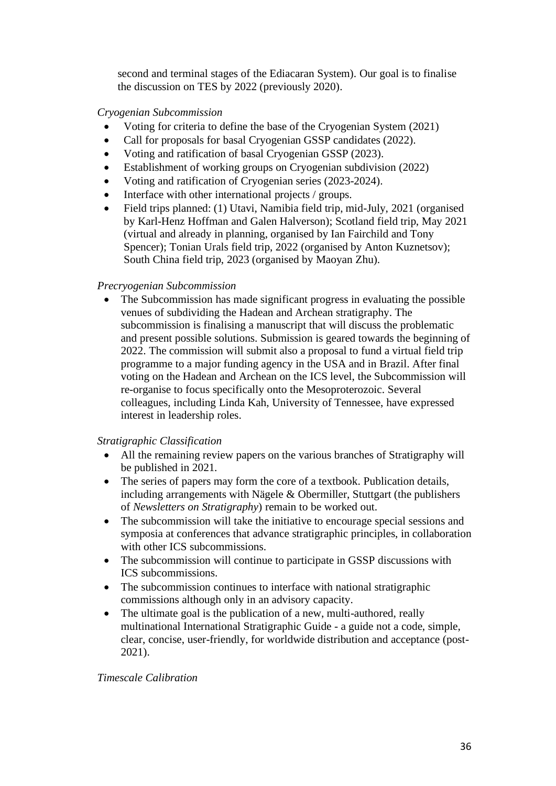second and terminal stages of the Ediacaran System). Our goal is to finalise the discussion on TES by 2022 (previously 2020).

### *Cryogenian Subcommission*

- Voting for criteria to define the base of the Cryogenian System (2021)
- Call for proposals for basal Cryogenian GSSP candidates (2022).
- Voting and ratification of basal Cryogenian GSSP (2023).
- Establishment of working groups on Cryogenian subdivision (2022)
- Voting and ratification of Cryogenian series (2023-2024).
- Interface with other international projects / groups.
- Field trips planned: (1) Utavi, Namibia field trip, mid-July, 2021 (organised by Karl-Henz Hoffman and Galen Halverson); Scotland field trip, May 2021 (virtual and already in planning, organised by Ian Fairchild and Tony Spencer); Tonian Urals field trip, 2022 (organised by Anton Kuznetsov); South China field trip, 2023 (organised by Maoyan Zhu).

### *Precryogenian Subcommission*

• The Subcommission has made significant progress in evaluating the possible venues of subdividing the Hadean and Archean stratigraphy. The subcommission is finalising a manuscript that will discuss the problematic and present possible solutions. Submission is geared towards the beginning of 2022. The commission will submit also a proposal to fund a virtual field trip programme to a major funding agency in the USA and in Brazil. After final voting on the Hadean and Archean on the ICS level, the Subcommission will re-organise to focus specifically onto the Mesoproterozoic. Several colleagues, including Linda Kah, University of Tennessee, have expressed interest in leadership roles.

### *Stratigraphic Classification*

- All the remaining review papers on the various branches of Stratigraphy will be published in 2021.
- The series of papers may form the core of a textbook. Publication details, including arrangements with Nägele & Obermiller, Stuttgart (the publishers of *Newsletters on Stratigraphy*) remain to be worked out.
- The subcommission will take the initiative to encourage special sessions and symposia at conferences that advance stratigraphic principles, in collaboration with other ICS subcommissions.
- The subcommission will continue to participate in GSSP discussions with ICS subcommissions.
- The subcommission continues to interface with national stratigraphic commissions although only in an advisory capacity.
- The ultimate goal is the publication of a new, multi-authored, really multinational International Stratigraphic Guide - a guide not a code, simple, clear, concise, user-friendly, for worldwide distribution and acceptance (post-2021).

### *Timescale Calibration*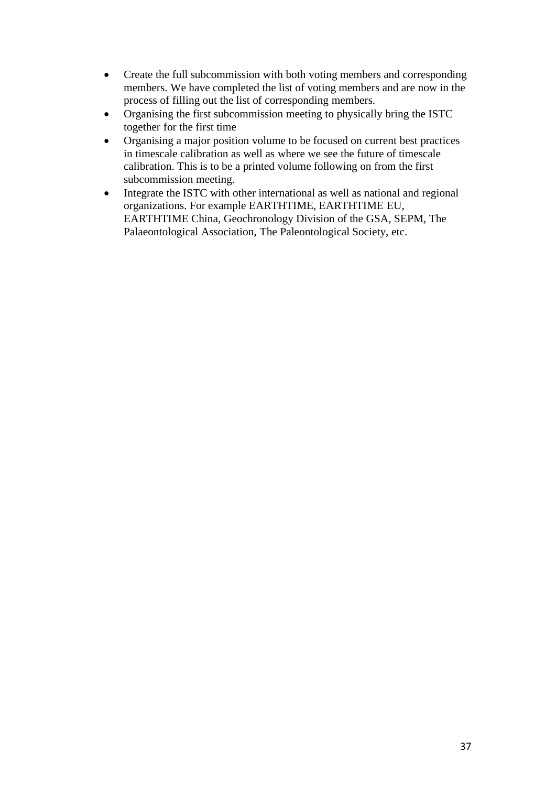- Create the full subcommission with both voting members and corresponding members. We have completed the list of voting members and are now in the process of filling out the list of corresponding members.
- Organising the first subcommission meeting to physically bring the ISTC together for the first time
- Organising a major position volume to be focused on current best practices in timescale calibration as well as where we see the future of timescale calibration. This is to be a printed volume following on from the first subcommission meeting.
- Integrate the ISTC with other international as well as national and regional organizations. For example EARTHTIME, EARTHTIME EU, EARTHTIME China, Geochronology Division of the GSA, SEPM, The Palaeontological Association, The Paleontological Society, etc.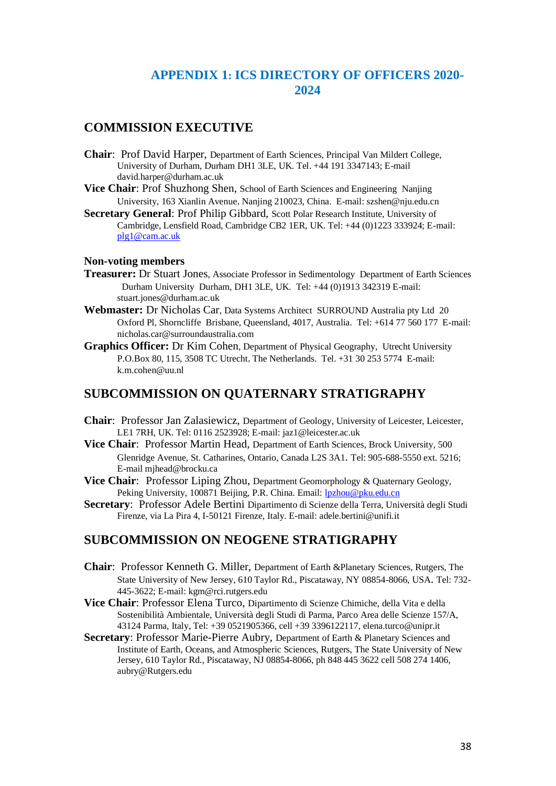### **APPENDIX 1: ICS DIRECTORY OF OFFICERS 2020- 2024**

### **COMMISSION EXECUTIVE**

- **Chair**: Prof David Harper, Department of Earth Sciences, Principal Van Mildert College, University of Durham, Durham DH1 3LE, UK. Tel. +44 191 3347143; E-mail david.harper@durham.ac.uk
- **Vice Chair**: Prof Shuzhong Shen, School of Earth Sciences and Engineering Nanjing University, 163 Xianlin Avenue, Nanjing 210023, China. E-mail: szshen@nju.edu.cn
- **Secretary General**: Prof Philip Gibbard, Scott Polar Research Institute, University of Cambridge, Lensfield Road, Cambridge CB2 1ER, UK. Tel: +44 (0)1223 333924; E-mail: [plg1@cam.ac.uk](mailto:plg1@cam.ac.uk)

#### **Non-voting members**

- **Treasurer:** Dr Stuart Jones, Associate Professor in Sedimentology Department of Earth Sciences Durham University Durham, DH1 3LE, UK. Tel: +44 (0)1913 342319 E-mail: stuart.jones@durham.ac.uk
- **Webmaster:** Dr Nicholas Car, Data Systems Architect SURROUND Australia pty Ltd 20 Oxford Pl, Shorncliffe Brisbane, Queensland, 4017, Australia. Tel: +614 77 560 177 E-mail: nicholas.car@surroundaustralia.com
- **Graphics Officer:** Dr Kim Cohen, Department of Physical Geography, Utrecht University P.O.Box 80, 115, 3508 TC Utrecht,The Netherlands. Tel. +31 30 253 5774 E-mail: k.m.cohen@uu.nl

### **SUBCOMMISSION ON QUATERNARY STRATIGRAPHY**

- **Chair**: Professor Jan Zalasiewicz, Department of Geology, University of Leicester, Leicester, LE1 7RH, UK. Tel: 0116 2523928; E-mail: jaz1@leicester.ac.uk
- **Vice Chair**: Professor Martin Head, Department of Earth Sciences, Brock University, 500 Glenridge Avenue, St. Catharines, Ontario, Canada L2S 3A1. Tel: 905-688-5550 ext. 5216; E-mail mjhead@brocku.ca
- **Vice Chair**: Professor Liping Zhou, Department Geomorphology & Quaternary Geology, Peking University, 100871 Beijing, P.R. China. Email[: lpzhou@pku.edu.cn](mailto:lpzhou@pku.edu.cn)
- **Secretary**: Professor Adele Bertini Dipartimento di Scienze della Terra, Università degli Studi Firenze, via La Pira 4, I-50121 Firenze, Italy. E-mail: adele.bertini@unifi.it

### **SUBCOMMISSION ON NEOGENE STRATIGRAPHY**

- **Chair**: Professor Kenneth G. Miller, Department of Earth &Planetary Sciences, Rutgers, The State University of New Jersey, 610 Taylor Rd., Piscataway, NY 08854-8066, USA. Tel: 732- 445-3622; E-mail: kgm@rci.rutgers.edu
- **Vice Chair**: Professor Elena Turco, Dipartimento di Scienze Chimiche, della Vita e della Sostenibilità Ambientale, Università degli Studi di Parma, Parco Area delle Scienze 157/A, 43124 Parma, Italy, Tel: +39 0521905366, cell +39 3396122117, elena.turco@unipr.it
- **Secretary**: Professor Marie-Pierre Aubry, Department of Earth & Planetary Sciences and Institute of Earth, Oceans, and Atmospheric Sciences, Rutgers, The State University of New Jersey, 610 Taylor Rd., Piscataway, NJ 08854-8066, ph 848 445 3622 cell 508 274 1406, aubry@Rutgers.edu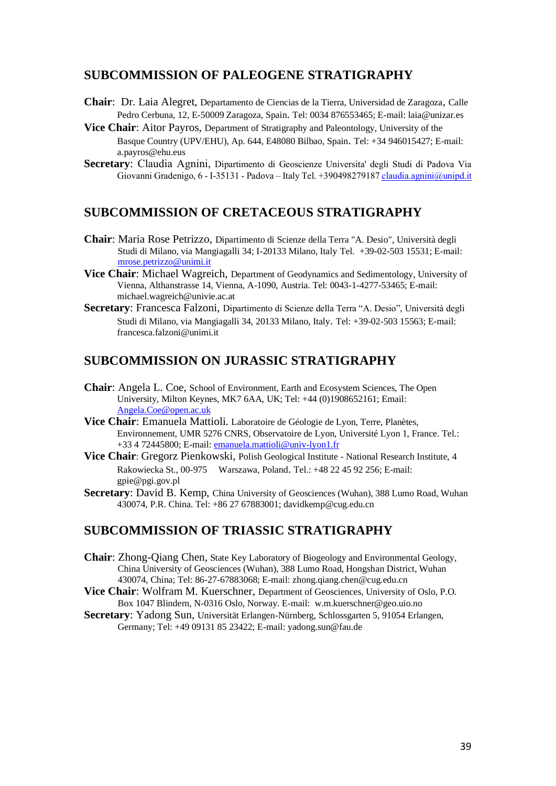### **SUBCOMMISSION OF PALEOGENE STRATIGRAPHY**

- **Chair**: Dr. Laia Alegret, Departamento de Ciencias de la Tierra, Universidad de Zaragoza, Calle Pedro Cerbuna, 12, E-50009 Zaragoza, Spain. Tel: 0034 876553465; E-mail: laia@unizar.es
- **Vice Chair**: Aitor Payros, Department of Stratigraphy and Paleontology, University of the Basque Country (UPV/EHU), Ap. 644, E48080 Bilbao, Spain. Tel: +34 946015427; E-mail: a.payros@ehu.eus
- **Secretary**: Claudia Agnini, Dipartimento di Geoscienze Universita' degli Studi di Padova Via Giovanni Gradenigo, 6 - I-35131 - Padova – Italy Tel. +39049827918[7 claudia.agnini@unipd.it](mailto:claudia.agnini@unipd.it)

### **SUBCOMMISSION OF CRETACEOUS STRATIGRAPHY**

- **Chair**: Maria Rose Petrizzo, Dipartimento di Scienze della Terra "A. Desio", Università degli Studi di Milano, via Mangiagalli 34; I-20133 Milano, Italy Tel. +39-02-503 15531; E-mail: [mrose.petrizzo@unimi.it](mailto:mrose.petrizzo@unimi.it)
- **Vice Chair**: Michael Wagreich, Department of Geodynamics and Sedimentology, University of Vienna, Althanstrasse 14, Vienna, A-1090, Austria. Tel: 0043-1-4277-53465; E-mail: michael.wagreich@univie.ac.at
- **Secretary**: Francesca Falzoni, Dipartimento di Scienze della Terra "A. Desio", Università degli Studi di Milano, via Mangiagalli 34, 20133 Milano, Italy. Tel: +39-02-503 15563; E-mail: francesca.falzoni@unimi.it

### **SUBCOMMISSION ON JURASSIC STRATIGRAPHY**

- **Chair**: Angela L. Coe, School of Environment, Earth and Ecosystem Sciences, The Open University, Milton Keynes, MK7 6AA, UK; Tel: +44 (0)1908652161; Email: [Angela.Coe@open.ac.uk](mailto:Angela.Coe@open.ac.uk)
- **Vice Chair**: Emanuela Mattioli. Laboratoire de Géologie de Lyon, Terre, Planètes, Environnement, UMR 5276 CNRS, Observatoire de Lyon, Université Lyon 1, France. Tel.: +33 4 72445800; E-mail: [emanuela.mattioli@univ-lyon1.fr](mailto:emanuela.mattioli@univ-lyon1.fr)
- **Vice Chair**: Gregorz Pienkowski, Polish Geological Institute National Research Institute, 4 Rakowiecka St., 00-975 Warszawa, Poland. Tel.: +48 22 45 92 256; E-mail: gpie@pgi.gov.pl
- **Secretary**: David B. Kemp, China University of Geosciences (Wuhan), 388 Lumo Road, Wuhan 430074, P.R. China. Tel: +86 27 67883001; davidkemp@cug.edu.cn

### **SUBCOMMISSION OF TRIASSIC STRATIGRAPHY**

- **Chair**: Zhong-Qiang Chen, State Key Laboratory of Biogeology and Environmental Geology, China University of Geosciences (Wuhan), 388 Lumo Road, Hongshan District, Wuhan 430074, China; Tel: 86-27-67883068; E-mail: zhong.qiang.chen@cug.edu.cn
- **Vice Chair**: Wolfram M. Kuerschner, Department of Geosciences, University of Oslo, P.O. Box 1047 Blindern, N-0316 Oslo, Norway. E-mail: w.m.kuerschner@geo.uio.no
- **Secretary**: Yadong Sun, Universität Erlangen-Nürnberg, Schlossgarten 5, 91054 Erlangen, Germany; Tel: +49 09131 85 23422; E-mail: yadong.sun@fau.de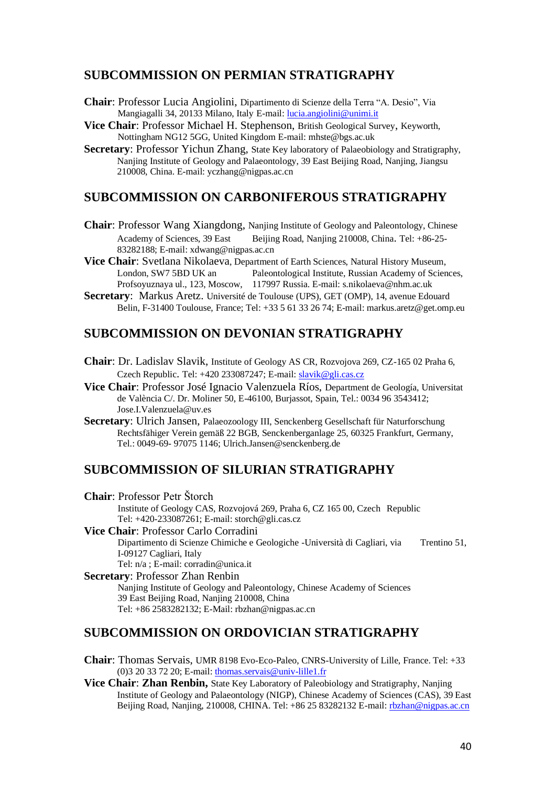### **SUBCOMMISSION ON PERMIAN STRATIGRAPHY**

- **Chair**: Professor Lucia Angiolini, Dipartimento di Scienze della Terra "A. Desio", Via Mangiagalli 34, 20133 Milano, Italy E-mail: [lucia.angiolini@unimi.it](mailto:lucia.angiolini@unimi.it)
- **Vice Chair**: Professor Michael H. Stephenson, British Geological Survey, Keyworth, Nottingham NG12 5GG, United Kingdom E-mail: mhste@bgs.ac.uk
- **Secretary:** Professor Yichun Zhang, State Key laboratory of Palaeobiology and Stratigraphy, Nanjing Institute of Geology and Palaeontology, 39 East Beijing Road, Nanjing, Jiangsu 210008, China. E-mail: yczhang@nigpas.ac.cn

### **SUBCOMMISSION ON CARBONIFEROUS STRATIGRAPHY**

- **Chair**: Professor Wang Xiangdong, Nanjing Institute of Geology and Paleontology, Chinese Academy of Sciences, 39 East Beijing Road, Nanjing 210008, China. Tel: +86-25-83282188; E-mail: xdwang@nigpas.ac.cn
- **Vice Chair**: Svetlana Nikolaeva, Department of Earth Sciences, Natural History Museum, London, SW7 5BD UK an Paleontological Institute, Russian Academy of Sciences, Profsoyuznaya ul., 123, Moscow, 117997 Russia. E-mail: s.nikolaeva@nhm.ac.uk
- **Secretary**: Markus Aretz. Université de Toulouse (UPS), GET (OMP), 14, avenue Edouard Belin, F-31400 Toulouse, France; Tel: +33 5 61 33 26 74; E-mail: markus.aretz@get.omp.eu

### **SUBCOMMISSION ON DEVONIAN STRATIGRAPHY**

- **Chair**: Dr. Ladislav Slavik, Institute of Geology AS CR, Rozvojova 269, CZ-165 02 Praha 6, Czech Republic. Tel: +420 233087247; E-mail[: slavik@gli.cas.cz](mailto:slavik@gli.cas.cz)
- **Vice Chair**: Professor José Ignacio Valenzuela Ríos, Department de Geología, Universitat de València C/. Dr. Moliner 50, E-46100, Burjassot, Spain, Tel.: 0034 96 3543412; Jose.I.Valenzuela@uv.es
- **Secretary**: Ulrich Jansen, Palaeozoology III, Senckenberg Gesellschaft für Naturforschung Rechtsfähiger Verein gemäß 22 BGB, Senckenberganlage 25, 60325 Frankfurt, Germany, Tel.: 0049-69- 97075 1146; Ulrich.Jansen@senckenberg.de

### **SUBCOMMISSION OF SILURIAN STRATIGRAPHY**

**Chair**: Professor Petr Štorch Institute of Geology CAS, Rozvojová 269, Praha 6, CZ 165 00, Czech Republic Tel: +420-233087261; E-mail: storch@gli.cas.cz

**Vice Chair**: Professor Carlo Corradini Dipartimento di Scienze Chimiche e Geologiche -Università di Cagliari, via Trentino 51, I-09127 Cagliari, Italy Tel: n/a ; E-mail: corradin@unica.it

**Secretary**: Professor Zhan Renbin Nanjing Institute of Geology and Paleontology, Chinese Academy of Sciences 39 East Beijing Road, Nanjing 210008, China Tel: +86 2583282132; E-Mail: rbzhan@nigpas.ac.cn

### **SUBCOMMISSION ON ORDOVICIAN STRATIGRAPHY**

- **Chair**: Thomas Servais, UMR 8198 Evo-Eco-Paleo, CNRS-University of Lille, France. Tel: +33 (0)3 20 33 72 20; E-mail: [thomas.servais@univ-lille1.fr](mailto:thomas.servais@univ-lille1.fr)
- **Vice Chair**: **Zhan Renbin,** State Key Laboratory of Paleobiology and Stratigraphy, Nanjing Institute of Geology and Palaeontology (NIGP), Chinese Academy of Sciences (CAS), 39 East Beijing Road, Nanjing, 210008, CHINA. Tel: +86 25 83282132 E-mail[: rbzhan@nigpas.ac.cn](mailto:rbzhan@nigpas.ac.cn)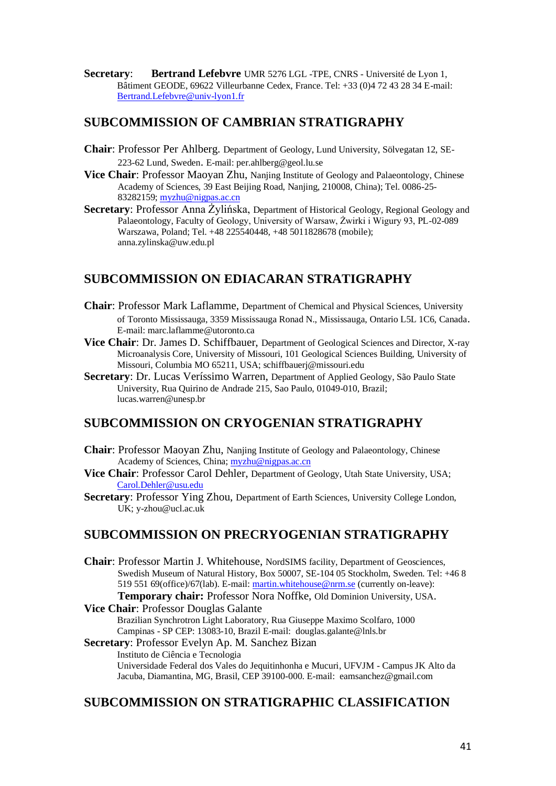**Secretary**: **Bertrand Lefebvre** UMR 5276 LGL -TPE, CNRS - Université de Lyon 1, Bâtiment GEODE, 69622 Villeurbanne Cedex, France. Tel: +33 (0)4 72 43 28 34 E-mail: [Bertrand.Lefebvre@univ-lyon1.fr](mailto:Bertrand.Lefebvre@univ-lyon1.fr)

### **SUBCOMMISSION OF CAMBRIAN STRATIGRAPHY**

- **Chair**: Professor Per Ahlberg. Department of Geology, Lund University, Sölvegatan 12, SE-223-62 Lund, Sweden. E-mail: per.ahlberg@geol.lu.se
- **Vice Chair:** Professor Maoyan Zhu, Nanjing Institute of Geology and Palaeontology, Chinese Academy of Sciences, 39 East Beijing Road, Nanjing, 210008, China); Tel. 0086-25 83282159; [myzhu@nigpas.ac.cn](mailto:myzhu@nigpas.ac.cn)
- **Secretary:** Professor Anna Żylińska, Department of Historical Geology, Regional Geology and Palaeontology, Faculty of Geology, University of Warsaw, Żwirki i Wigury 93, PL-02-089 Warszawa, Poland; Tel. +48 225540448, +48 5011828678 (mobile); anna.zylinska@uw.edu.pl

### **SUBCOMMISSION ON EDIACARAN STRATIGRAPHY**

- **Chair**: Professor Mark Laflamme, Department of Chemical and Physical Sciences, University of Toronto Mississauga, 3359 Mississauga Ronad N., Mississauga, Ontario L5L 1C6, Canada. E-mail: marc.laflamme@utoronto.ca
- **Vice Chair**: Dr. James D. Schiffbauer, Department of Geological Sciences and Director, X-ray Microanalysis Core, University of Missouri, 101 Geological Sciences Building, University of Missouri, Columbia MO 65211, USA; schiffbauerj@missouri.edu
- **Secretary**: Dr. Lucas Veríssimo Warren, Department of Applied Geology, São Paulo State University, Rua Quirino de Andrade 215, Sao Paulo, 01049-010, Brazil; lucas.warren@unesp.br

### **SUBCOMMISSION ON CRYOGENIAN STRATIGRAPHY**

- **Chair**: Professor Maoyan Zhu, Nanjing Institute of Geology and Palaeontology, Chinese Academy of Sciences, China; [myzhu@nigpas.ac.cn](mailto:myzhu@nigpas.ac.cn)
- **Vice Chair**: Professor Carol Dehler, Department of Geology, Utah State University, USA; [Carol.Dehler@usu.edu](mailto:Carol.Dehler@usu.edu)
- **Secretary: Professor Ying Zhou, Department of Earth Sciences, University College London,** UK; y-zhou@ucl.ac.uk

### **SUBCOMMISSION ON PRECRYOGENIAN STRATIGRAPHY**

**Chair**: Professor Martin J. Whitehouse, NordSIMS facility, Department of Geosciences, Swedish Museum of Natural History, Box 50007, SE-104 05 Stockholm, Sweden. Tel: +46 8 519 551 69(office)/67(lab). E-mail: [martin.whitehouse@nrm.se](mailto:martin.whitehouse@nrm.se) (currently on-leave): **Temporary chair:** Professor Nora Noffke, Old Dominion University, USA.

**Vice Chair**: Professor Douglas Galante

Brazilian Synchrotron Light Laboratory, Rua Giuseppe Maximo Scolfaro, 1000 Campinas - SP CEP: 13083-10, Brazil E-mail: douglas.galante@lnls.br

**Secretary**: Professor Evelyn Ap. M. Sanchez Bizan Instituto de Ciência e Tecnologia Universidade Federal dos Vales do Jequitinhonha e Mucuri, UFVJM - Campus JK Alto da Jacuba, Diamantina, MG, Brasil, CEP 39100-000. E-mail: eamsanchez@gmail.com

### **SUBCOMMISSION ON STRATIGRAPHIC CLASSIFICATION**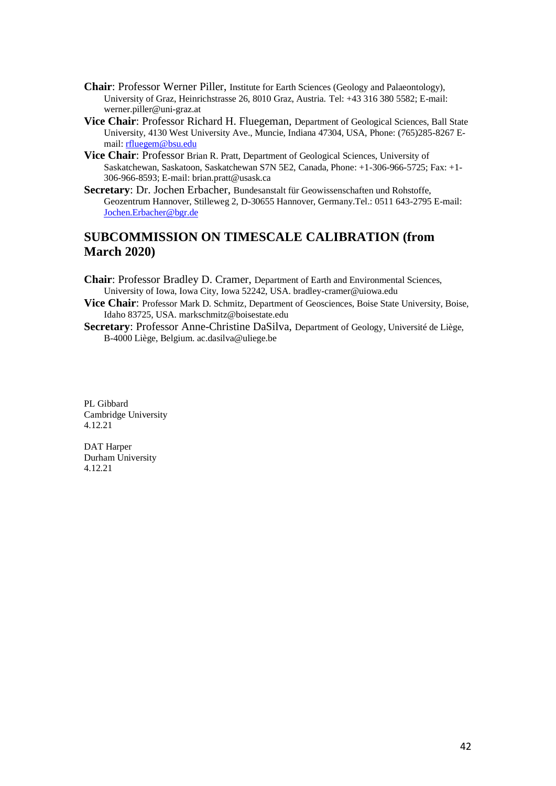- **Chair**: Professor Werner Piller, Institute for Earth Sciences (Geology and Palaeontology), University of Graz, Heinrichstrasse 26, 8010 Graz, Austria. Tel: +43 316 380 5582; E-mail: werner.piller@uni-graz.at
- **Vice Chair**: Professor Richard H. Fluegeman, Department of Geological Sciences, Ball State University, 4130 West University Ave., Muncie, Indiana 47304, USA, Phone: (765)285-8267 Email[: rfluegem@bsu.edu](mailto:rfluegem@bsu.edu)
- **Vice Chair**: Professor Brian R. Pratt, Department of Geological Sciences, University of Saskatchewan, Saskatoon, Saskatchewan S7N 5E2, Canada, Phone: +1-306-966-5725; Fax: +1- 306-966-8593; E-mail: brian.pratt@usask.ca
- **Secretary**: Dr. Jochen Erbacher, Bundesanstalt für Geowissenschaften und Rohstoffe, Geozentrum Hannover, Stilleweg 2, D-30655 Hannover, Germany.Tel.: 0511 643-2795 E-mail: [Jochen.Erbacher@bgr.de](mailto:Jochen.Erbacher@bgr.de)

### **SUBCOMMISSION ON TIMESCALE CALIBRATION (from March 2020)**

- **Chair**: Professor Bradley D. Cramer, Department of Earth and Environmental Sciences, University of Iowa, Iowa City, Iowa 52242, USA. bradley-cramer@uiowa.edu
- **Vice Chair**: Professor Mark D. Schmitz, Department of Geosciences, Boise State University, Boise, Idaho 83725, USA. markschmitz@boisestate.edu
- **Secretary**: Professor Anne-Christine DaSilva, Department of Geology, Université de Liège, B-4000 Liège, Belgium. ac.dasilva@uliege.be

PL Gibbard Cambridge University 4.12.21

DAT Harper Durham University 4.12.21